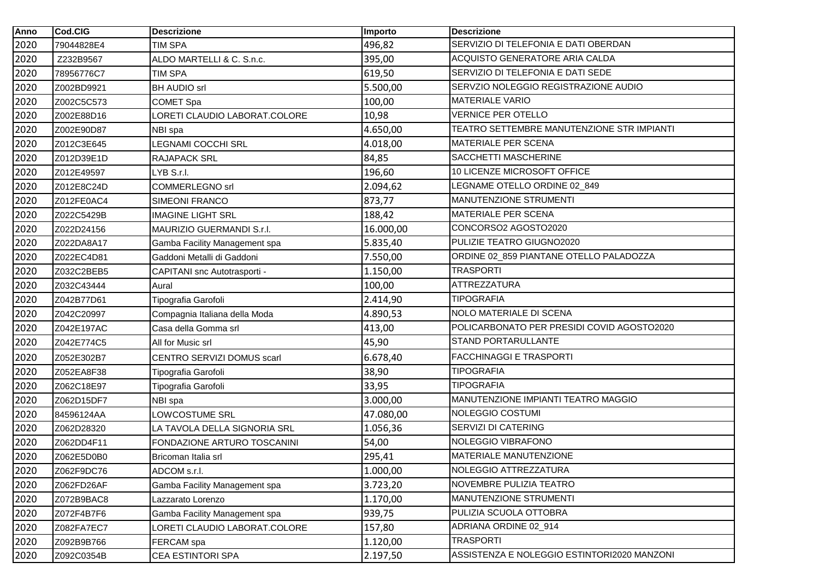| Anno | Cod.CIG    | <b>Descrizione</b>            | Importo   | <b>Descrizione</b>                          |
|------|------------|-------------------------------|-----------|---------------------------------------------|
| 2020 | 79044828E4 | <b>TIM SPA</b>                | 496,82    | SERVIZIO DI TELEFONIA E DATI OBERDAN        |
| 2020 | Z232B9567  | ALDO MARTELLI & C. S.n.c.     | 395,00    | ACQUISTO GENERATORE ARIA CALDA              |
| 2020 | 78956776C7 | <b>TIM SPA</b>                | 619,50    | SERVIZIO DI TELEFONIA E DATI SEDE           |
| 2020 | Z002BD9921 | <b>BH AUDIO srl</b>           | 5.500,00  | SERVZIO NOLEGGIO REGISTRAZIONE AUDIO        |
| 2020 | Z002C5C573 | <b>COMET Spa</b>              | 100,00    | <b>MATERIALE VARIO</b>                      |
| 2020 | Z002E88D16 | LORETI CLAUDIO LABORAT.COLORE | 10,98     | <b>VERNICE PER OTELLO</b>                   |
| 2020 | Z002E90D87 | NBI spa                       | 4.650,00  | TEATRO SETTEMBRE MANUTENZIONE STR IMPIANTI  |
| 2020 | Z012C3E645 | LEGNAMI COCCHI SRL            | 4.018,00  | <b>MATERIALE PER SCENA</b>                  |
| 2020 | Z012D39E1D | <b>RAJAPACK SRL</b>           | 84,85     | SACCHETTI MASCHERINE                        |
| 2020 | Z012E49597 | LYB S.r.l.                    | 196,60    | 10 LICENZE MICROSOFT OFFICE                 |
| 2020 | Z012E8C24D | <b>COMMERLEGNO srl</b>        | 2.094,62  | LEGNAME OTELLO ORDINE 02_849                |
| 2020 | Z012FE0AC4 | SIMEONI FRANCO                | 873,77    | MANUTENZIONE STRUMENTI                      |
| 2020 | Z022C5429B | <b>IMAGINE LIGHT SRL</b>      | 188,42    | MATERIALE PER SCENA                         |
| 2020 | Z022D24156 | MAURIZIO GUERMANDI S.r.I.     | 16.000,00 | CONCORSO2 AGOSTO2020                        |
| 2020 | Z022DA8A17 | Gamba Facility Management spa | 5.835,40  | PULIZIE TEATRO GIUGNO2020                   |
| 2020 | Z022EC4D81 | Gaddoni Metalli di Gaddoni    | 7.550,00  | ORDINE 02_859 PIANTANE OTELLO PALADOZZA     |
| 2020 | Z032C2BEB5 | CAPITANI snc Autotrasporti -  | 1.150,00  | <b>TRASPORTI</b>                            |
| 2020 | Z032C43444 | Aural                         | 100,00    | <b>ATTREZZATURA</b>                         |
| 2020 | Z042B77D61 | Tipografia Garofoli           | 2.414,90  | <b>TIPOGRAFIA</b>                           |
| 2020 | Z042C20997 | Compagnia Italiana della Moda | 4.890,53  | NOLO MATERIALE DI SCENA                     |
| 2020 | Z042E197AC | Casa della Gomma srl          | 413,00    | POLICARBONATO PER PRESIDI COVID AGOSTO2020  |
| 2020 | Z042E774C5 | All for Music srl             | 45,90     | STAND PORTARULLANTE                         |
| 2020 | Z052E302B7 | CENTRO SERVIZI DOMUS scarl    | 6.678,40  | <b>FACCHINAGGI E TRASPORTI</b>              |
| 2020 | Z052EA8F38 | Tipografia Garofoli           | 38,90     | <b>TIPOGRAFIA</b>                           |
| 2020 | Z062C18E97 | Tipografia Garofoli           | 33,95     | <b>TIPOGRAFIA</b>                           |
| 2020 | Z062D15DF7 | NBI spa                       | 3.000,00  | MANUTENZIONE IMPIANTI TEATRO MAGGIO         |
| 2020 | 84596124AA | LOWCOSTUME SRL                | 47.080,00 | NOLEGGIO COSTUMI                            |
| 2020 | Z062D28320 | LA TAVOLA DELLA SIGNORIA SRL  | 1.056,36  | SERVIZI DI CATERING                         |
| 2020 | Z062DD4F11 | FONDAZIONE ARTURO TOSCANINI   | 54,00     | NOLEGGIO VIBRAFONO                          |
| 2020 | Z062E5D0B0 | Bricoman Italia srl           | 295,41    | <b>MATERIALE MANUTENZIONE</b>               |
| 2020 | Z062F9DC76 | ADCOM s.r.l.                  | 1.000,00  | NOLEGGIO ATTREZZATURA                       |
| 2020 | Z062FD26AF | Gamba Facility Management spa | 3.723,20  | NOVEMBRE PULIZIA TEATRO                     |
| 2020 | Z072B9BAC8 | Lazzarato Lorenzo             | 1.170,00  | MANUTENZIONE STRUMENTI                      |
| 2020 | Z072F4B7F6 | Gamba Facility Management spa | 939,75    | PULIZIA SCUOLA OTTOBRA                      |
| 2020 | Z082FA7EC7 | LORETI CLAUDIO LABORAT.COLORE | 157,80    | ADRIANA ORDINE 02_914                       |
| 2020 | Z092B9B766 | FERCAM spa                    | 1.120,00  | <b>TRASPORTI</b>                            |
| 2020 | Z092C0354B | CEA ESTINTORI SPA             | 2.197,50  | ASSISTENZA E NOLEGGIO ESTINTORI2020 MANZONI |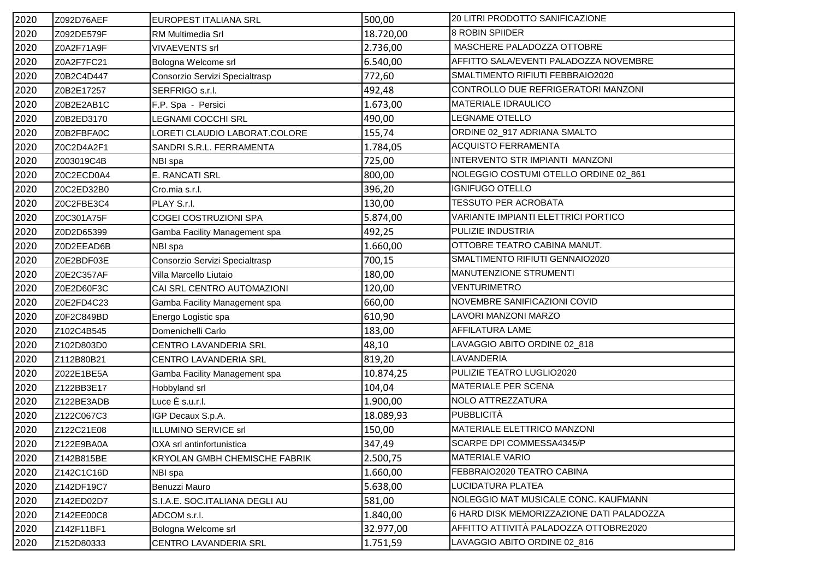| 2020 | Z092D76AEF | <b>EUROPEST ITALIANA SRL</b>         | 500,00    | <b>20 LITRI PRODOTTO SANIFICAZIONE</b>    |
|------|------------|--------------------------------------|-----------|-------------------------------------------|
| 2020 | Z092DE579F | RM Multimedia Srl                    | 18.720,00 | 8 ROBIN SPIIDER                           |
| 2020 | Z0A2F71A9F | <b>VIVAEVENTS</b> srl                | 2.736,00  | MASCHERE PALADOZZA OTTOBRE                |
| 2020 | Z0A2F7FC21 | Bologna Welcome srl                  | 6.540,00  | AFFITTO SALA/EVENTI PALADOZZA NOVEMBRE    |
| 2020 | Z0B2C4D447 | Consorzio Servizi Specialtrasp       | 772,60    | SMALTIMENTO RIFIUTI FEBBRAIO2020          |
| 2020 | Z0B2E17257 | SERFRIGO s.r.l.                      | 492,48    | CONTROLLO DUE REFRIGERATORI MANZONI       |
| 2020 | Z0B2E2AB1C | F.P. Spa - Persici                   | 1.673,00  | MATERIALE IDRAULICO                       |
| 2020 | Z0B2ED3170 | LEGNAMI COCCHI SRL                   | 490,00    | LEGNAME OTELLO                            |
| 2020 | Z0B2FBFA0C | LORETI CLAUDIO LABORAT.COLORE        | 155,74    | ORDINE 02_917 ADRIANA SMALTO              |
| 2020 | Z0C2D4A2F1 | SANDRI S.R.L. FERRAMENTA             | 1.784,05  | <b>ACQUISTO FERRAMENTA</b>                |
| 2020 | Z003019C4B | NBI spa                              | 725,00    | INTERVENTO STR IMPIANTI MANZONI           |
| 2020 | Z0C2ECD0A4 | E. RANCATI SRL                       | 800,00    | NOLEGGIO COSTUMI OTELLO ORDINE 02_861     |
| 2020 | Z0C2ED32B0 | Cro.mia s.r.l.                       | 396,20    | <b>IGNIFUGO OTELLO</b>                    |
| 2020 | Z0C2FBE3C4 | PLAY S.r.l.                          | 130,00    | <b>TESSUTO PER ACROBATA</b>               |
| 2020 | Z0C301A75F | COGEI COSTRUZIONI SPA                | 5.874,00  | VARIANTE IMPIANTI ELETTRICI PORTICO       |
| 2020 | Z0D2D65399 | Gamba Facility Management spa        | 492,25    | PULIZIE INDUSTRIA                         |
| 2020 | Z0D2EEAD6B | NBI spa                              | 1.660,00  | OTTOBRE TEATRO CABINA MANUT.              |
| 2020 | Z0E2BDF03E | Consorzio Servizi Specialtrasp       | 700,15    | SMALTIMENTO RIFIUTI GENNAIO2020           |
| 2020 | Z0E2C357AF | Villa Marcello Liutaio               | 180,00    | MANUTENZIONE STRUMENTI                    |
| 2020 | Z0E2D60F3C | CAI SRL CENTRO AUTOMAZIONI           | 120,00    | <b>VENTURIMETRO</b>                       |
| 2020 | Z0E2FD4C23 | Gamba Facility Management spa        | 660,00    | NOVEMBRE SANIFICAZIONI COVID              |
| 2020 | Z0F2C849BD | Energo Logistic spa                  | 610,90    | LAVORI MANZONI MARZO                      |
| 2020 | Z102C4B545 | Domenichelli Carlo                   | 183,00    | AFFILATURA LAME                           |
| 2020 | Z102D803D0 | CENTRO LAVANDERIA SRL                | 48,10     | LAVAGGIO ABITO ORDINE 02_818              |
| 2020 | Z112B80B21 | CENTRO LAVANDERIA SRL                | 819,20    | LAVANDERIA                                |
| 2020 | Z022E1BE5A | Gamba Facility Management spa        | 10.874,25 | PULIZIE TEATRO LUGLIO2020                 |
| 2020 | Z122BB3E17 | Hobbyland srl                        | 104,04    | MATERIALE PER SCENA                       |
| 2020 | Z122BE3ADB | Luce È s.u.r.l.                      | 1.900,00  | NOLO ATTREZZATURA                         |
| 2020 | Z122C067C3 | IGP Decaux S.p.A.                    | 18.089,93 | <b>PUBBLICITÀ</b>                         |
| 2020 | Z122C21E08 | ILLUMINO SERVICE srl                 | 150,00    | MATERIALE ELETTRICO MANZONI               |
| 2020 | Z122E9BA0A | OXA srl antinfortunistica            | 347,49    | SCARPE DPI COMMESSA4345/P                 |
| 2020 | Z142B815BE | <b>KRYOLAN GMBH CHEMISCHE FABRIK</b> | 2.500,75  | <b>MATERIALE VARIO</b>                    |
| 2020 | Z142C1C16D | NBI spa                              | 1.660,00  | FEBBRAIO2020 TEATRO CABINA                |
| 2020 | Z142DF19C7 | Benuzzi Mauro                        | 5.638,00  | LUCIDATURA PLATEA                         |
| 2020 | Z142ED02D7 | S.I.A.E. SOC.ITALIANA DEGLI AU       | 581,00    | NOLEGGIO MAT MUSICALE CONC. KAUFMANN      |
| 2020 | Z142EE00C8 | ADCOM s.r.l.                         | 1.840,00  | 6 HARD DISK MEMORIZZAZIONE DATI PALADOZZA |
| 2020 | Z142F11BF1 | Bologna Welcome srl                  | 32.977,00 | AFFITTO ATTIVITÀ PALADOZZA OTTOBRE2020    |
| 2020 | Z152D80333 | CENTRO LAVANDERIA SRL                | 1.751,59  | LAVAGGIO ABITO ORDINE 02_816              |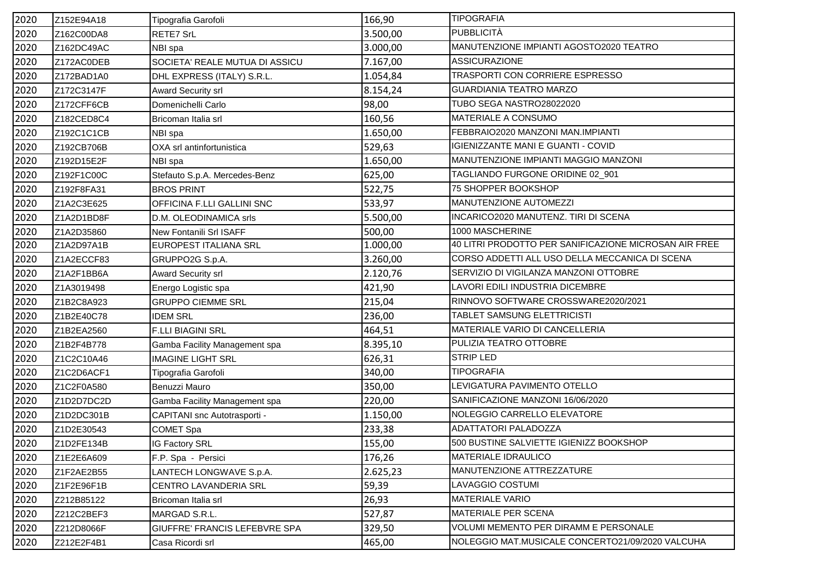| 2020 | Z152E94A18 | Tipografia Garofoli               | 166,90   | <b>TIPOGRAFIA</b>                                     |
|------|------------|-----------------------------------|----------|-------------------------------------------------------|
| 2020 | Z162C00DA8 | RETE7 SrL                         | 3.500,00 | <b>PUBBLICITÀ</b>                                     |
| 2020 | Z162DC49AC | NBI spa                           | 3.000,00 | MANUTENZIONE IMPIANTI AGOSTO2020 TEATRO               |
| 2020 | Z172AC0DEB | SOCIETA' REALE MUTUA DI ASSICU    | 7.167,00 | <b>ASSICURAZIONE</b>                                  |
| 2020 | Z172BAD1A0 | DHL EXPRESS (ITALY) S.R.L.        | 1.054,84 | TRASPORTI CON CORRIERE ESPRESSO                       |
| 2020 | Z172C3147F | <b>Award Security srl</b>         | 8.154,24 | <b>GUARDIANIA TEATRO MARZO</b>                        |
| 2020 | Z172CFF6CB | Domenichelli Carlo                | 98,00    | TUBO SEGA NASTRO28022020                              |
| 2020 | Z182CED8C4 | Bricoman Italia srl               | 160,56   | MATERIALE A CONSUMO                                   |
| 2020 | Z192C1C1CB | NBI spa                           | 1.650,00 | FEBBRAIO2020 MANZONI MAN.IMPIANTI                     |
| 2020 | Z192CB706B | OXA srl antinfortunistica         | 529,63   | <b>IGIENIZZANTE MANI E GUANTI - COVID</b>             |
| 2020 | Z192D15E2F | NBI spa                           | 1.650,00 | MANUTENZIONE IMPIANTI MAGGIO MANZONI                  |
| 2020 | Z192F1C00C | Stefauto S.p.A. Mercedes-Benz     | 625,00   | TAGLIANDO FURGONE ORIDINE 02_901                      |
| 2020 | Z192F8FA31 | <b>BROS PRINT</b>                 | 522,75   | 75 SHOPPER BOOKSHOP                                   |
| 2020 | Z1A2C3E625 | <b>OFFICINA F.LLI GALLINI SNC</b> | 533,97   | MANUTENZIONE AUTOMEZZI                                |
| 2020 | Z1A2D1BD8F | D.M. OLEODINAMICA srls            | 5.500,00 | <b>INCARICO2020 MANUTENZ. TIRI DI SCENA</b>           |
| 2020 | Z1A2D35860 | New Fontanili Srl ISAFF           | 500,00   | 1000 MASCHERINE                                       |
| 2020 | Z1A2D97A1B | EUROPEST ITALIANA SRL             | 1.000,00 | 40 LITRI PRODOTTO PER SANIFICAZIONE MICROSAN AIR FREE |
| 2020 | Z1A2ECCF83 | GRUPPO2G S.p.A.                   | 3.260,00 | CORSO ADDETTI ALL USO DELLA MECCANICA DI SCENA        |
| 2020 | Z1A2F1BB6A | Award Security srl                | 2.120,76 | SERVIZIO DI VIGILANZA MANZONI OTTOBRE                 |
| 2020 | Z1A3019498 | Energo Logistic spa               | 421,90   | LAVORI EDILI INDUSTRIA DICEMBRE                       |
| 2020 | Z1B2C8A923 | <b>GRUPPO CIEMME SRL</b>          | 215,04   | RINNOVO SOFTWARE CROSSWARE2020/2021                   |
| 2020 | Z1B2E40C78 | <b>IDEM SRL</b>                   | 236,00   | TABLET SAMSUNG ELETTRICISTI                           |
| 2020 | Z1B2EA2560 | <b>F.LLI BIAGINI SRL</b>          | 464,51   | MATERIALE VARIO DI CANCELLERIA                        |
| 2020 | Z1B2F4B778 | Gamba Facility Management spa     | 8.395,10 | PULIZIA TEATRO OTTOBRE                                |
| 2020 | Z1C2C10A46 | <b>IMAGINE LIGHT SRL</b>          | 626,31   | <b>STRIP LED</b>                                      |
| 2020 | Z1C2D6ACF1 | Tipografia Garofoli               | 340,00   | <b>TIPOGRAFIA</b>                                     |
| 2020 | Z1C2F0A580 | Benuzzi Mauro                     | 350,00   | LEVIGATURA PAVIMENTO OTELLO                           |
| 2020 | Z1D2D7DC2D | Gamba Facility Management spa     | 220,00   | SANIFICAZIONE MANZONI 16/06/2020                      |
| 2020 | Z1D2DC301B | CAPITANI snc Autotrasporti -      | 1.150,00 | NOLEGGIO CARRELLO ELEVATORE                           |
| 2020 | Z1D2E30543 | <b>COMET Spa</b>                  | 233,38   | ADATTATORI PALADOZZA                                  |
| 2020 | Z1D2FE134B | <b>IG Factory SRL</b>             | 155,00   | 500 BUSTINE SALVIETTE IGIENIZZ BOOKSHOP               |
| 2020 | Z1E2E6A609 | F.P. Spa - Persici                | 176,26   | <b>MATERIALE IDRAULICO</b>                            |
| 2020 | Z1F2AE2B55 | LANTECH LONGWAVE S.p.A.           | 2.625,23 | MANUTENZIONE ATTREZZATURE                             |
| 2020 | Z1F2E96F1B | CENTRO LAVANDERIA SRL             | 59,39    | LAVAGGIO COSTUMI                                      |
| 2020 | Z212B85122 | Bricoman Italia srl               | 26,93    | <b>MATERIALE VARIO</b>                                |
| 2020 | Z212C2BEF3 | MARGAD S.R.L.                     | 527,87   | MATERIALE PER SCENA                                   |
| 2020 | Z212D8066F | GIUFFRE' FRANCIS LEFEBVRE SPA     | 329,50   | VOLUMI MEMENTO PER DIRAMM E PERSONALE                 |
| 2020 | Z212E2F4B1 | Casa Ricordi srl                  | 465,00   | NOLEGGIO MAT.MUSICALE CONCERTO21/09/2020 VALCUHA      |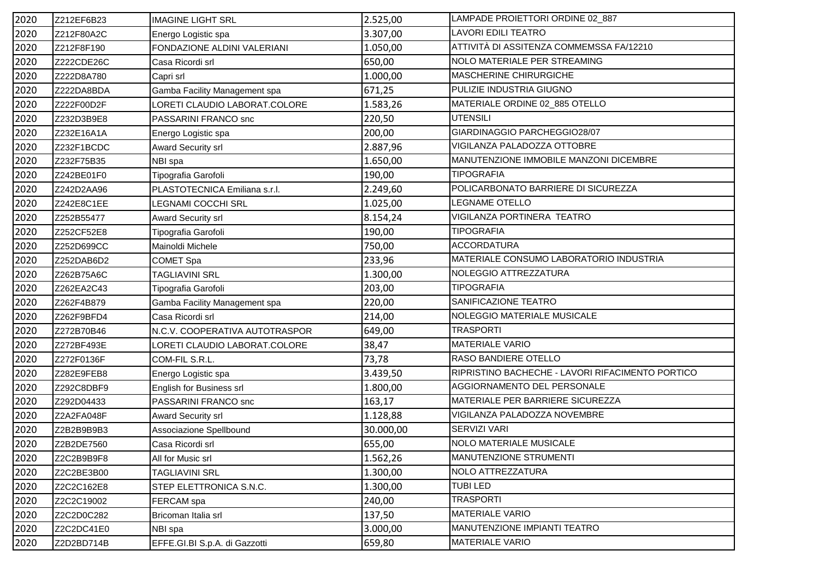| 2020 | Z212EF6B23 | <b>IMAGINE LIGHT SRL</b>       | 2.525,00  | LAMPADE PROIETTORI ORDINE 02_887                 |
|------|------------|--------------------------------|-----------|--------------------------------------------------|
| 2020 | Z212F80A2C | Energo Logistic spa            | 3.307,00  | <b>LAVORI EDILI TEATRO</b>                       |
| 2020 | Z212F8F190 | FONDAZIONE ALDINI VALERIANI    | 1.050,00  | ATTIVITÀ DI ASSITENZA COMMEMSSA FA/12210         |
| 2020 | Z222CDE26C | Casa Ricordi srl               | 650,00    | NOLO MATERIALE PER STREAMING                     |
| 2020 | Z222D8A780 | Capri srl                      | 1.000,00  | MASCHERINE CHIRURGICHE                           |
| 2020 | Z222DA8BDA | Gamba Facility Management spa  | 671,25    | PULIZIE INDUSTRIA GIUGNO                         |
| 2020 | Z222F00D2F | ORETI CLAUDIO LABORAT.COLORE   | 1.583,26  | MATERIALE ORDINE 02_885 OTELLO                   |
| 2020 | Z232D3B9E8 | PASSARINI FRANCO snc           | 220,50    | <b>UTENSILI</b>                                  |
| 2020 | Z232E16A1A | Energo Logistic spa            | 200,00    | GIARDINAGGIO PARCHEGGIO28/07                     |
| 2020 | Z232F1BCDC | <b>Award Security srl</b>      | 2.887,96  | VIGILANZA PALADOZZA OTTOBRE                      |
| 2020 | Z232F75B35 | NBI spa                        | 1.650,00  | MANUTENZIONE IMMOBILE MANZONI DICEMBRE           |
| 2020 | Z242BE01F0 | Tipografia Garofoli            | 190,00    | <b>TIPOGRAFIA</b>                                |
| 2020 | Z242D2AA96 | PLASTOTECNICA Emiliana s.r.l.  | 2.249,60  | POLICARBONATO BARRIERE DI SICUREZZA              |
| 2020 | Z242E8C1EE | LEGNAMI COCCHI SRL             | 1.025,00  | <b>LEGNAME OTELLO</b>                            |
| 2020 | Z252B55477 | Award Security srl             | 8.154,24  | VIGILANZA PORTINERA TEATRO                       |
| 2020 | Z252CF52E8 | Tipografia Garofoli            | 190,00    | <b>TIPOGRAFIA</b>                                |
| 2020 | Z252D699CC | Mainoldi Michele               | 750,00    | <b>ACCORDATURA</b>                               |
| 2020 | Z252DAB6D2 | COMET Spa                      | 233,96    | MATERIALE CONSUMO LABORATORIO INDUSTRIA          |
| 2020 | Z262B75A6C | TAGLIAVINI SRL                 | 1.300,00  | NOLEGGIO ATTREZZATURA                            |
| 2020 | Z262EA2C43 | Tipografia Garofoli            | 203,00    | <b>TIPOGRAFIA</b>                                |
| 2020 | Z262F4B879 | Gamba Facility Management spa  | 220,00    | SANIFICAZIONE TEATRO                             |
| 2020 | Z262F9BFD4 | Casa Ricordi srl               | 214,00    | NOLEGGIO MATERIALE MUSICALE                      |
| 2020 | Z272B70B46 | N.C.V. COOPERATIVA AUTOTRASPOR | 649,00    | <b>TRASPORTI</b>                                 |
| 2020 | Z272BF493E | LORETI CLAUDIO LABORAT.COLORE  | 38,47     | <b>MATERIALE VARIO</b>                           |
| 2020 | Z272F0136F | COM-FIL S.R.L.                 | 73,78     | <b>RASO BANDIERE OTELLO</b>                      |
| 2020 | Z282E9FEB8 | Energo Logistic spa            | 3.439,50  | RIPRISTINO BACHECHE - LAVORI RIFACIMENTO PORTICO |
| 2020 | Z292C8DBF9 | English for Business srl       | 1.800,00  | AGGIORNAMENTO DEL PERSONALE                      |
| 2020 | Z292D04433 | PASSARINI FRANCO snc           | 163,17    | MATERIALE PER BARRIERE SICUREZZA                 |
| 2020 | Z2A2FA048F | Award Security srl             | 1.128,88  | VIGILANZA PALADOZZA NOVEMBRE                     |
| 2020 | Z2B2B9B9B3 | Associazione Spellbound        | 30.000,00 | SERVIZI VARI                                     |
| 2020 | Z2B2DE7560 | Casa Ricordi srl               | 655,00    | NOLO MATERIALE MUSICALE                          |
| 2020 | Z2C2B9B9F8 | All for Music srl              | 1.562,26  | MANUTENZIONE STRUMENTI                           |
| 2020 | Z2C2BE3B00 | TAGLIAVINI SRL                 | 1.300,00  | NOLO ATTREZZATURA                                |
| 2020 | Z2C2C162E8 | STEP ELETTRONICA S.N.C.        | 1.300,00  | <b>TUBILED</b>                                   |
| 2020 | Z2C2C19002 | FERCAM spa                     | 240,00    | <b>TRASPORTI</b>                                 |
| 2020 | Z2C2D0C282 | Bricoman Italia srl            | 137,50    | <b>MATERIALE VARIO</b>                           |
| 2020 | Z2C2DC41E0 | NBI spa                        | 3.000,00  | MANUTENZIONE IMPIANTI TEATRO                     |
| 2020 | Z2D2BD714B | EFFE.GI.BI S.p.A. di Gazzotti  | 659,80    | <b>MATERIALE VARIO</b>                           |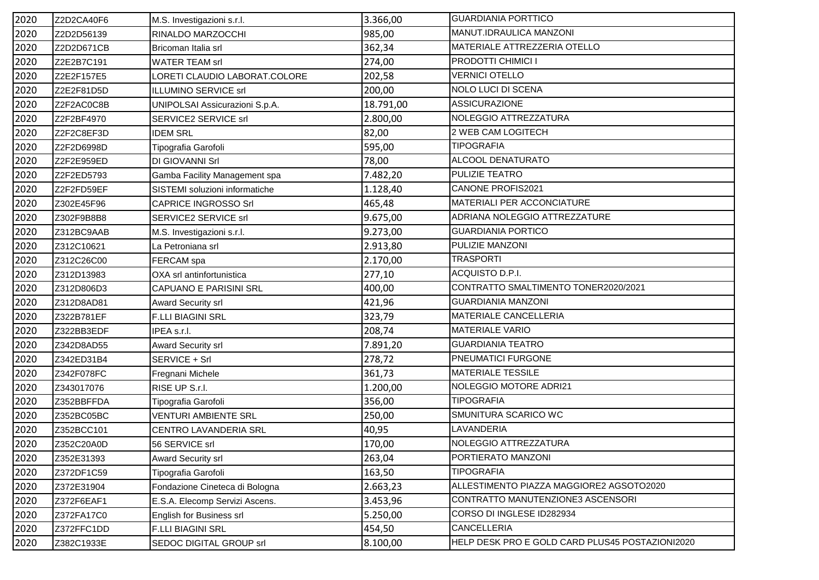| 2020 | Z2D2CA40F6 | M.S. Investigazioni s.r.l.     | 3.366,00  | <b>GUARDIANIA PORTTICO</b>                      |
|------|------------|--------------------------------|-----------|-------------------------------------------------|
| 2020 | Z2D2D56139 | RINALDO MARZOCCHI              | 985,00    | MANUT.IDRAULICA MANZONI                         |
| 2020 | Z2D2D671CB | Bricoman Italia srl            | 362,34    | MATERIALE ATTREZZERIA OTELLO                    |
| 2020 | Z2E2B7C191 | <b>WATER TEAM srl</b>          | 274,00    | PRODOTTI CHIMICI I                              |
| 2020 | Z2E2F157E5 | LORETI CLAUDIO LABORAT.COLORE  | 202,58    | <b>VERNICI OTELLO</b>                           |
| 2020 | Z2E2F81D5D | ILLUMINO SERVICE srl           | 200,00    | NOLO LUCI DI SCENA                              |
| 2020 | Z2F2AC0C8B | UNIPOLSAI Assicurazioni S.p.A. | 18.791,00 | <b>ASSICURAZIONE</b>                            |
| 2020 | Z2F2BF4970 | SERVICE2 SERVICE srl           | 2.800,00  | NOLEGGIO ATTREZZATURA                           |
| 2020 | Z2F2C8EF3D | <b>IDEM SRL</b>                | 82,00     | 2 WEB CAM LOGITECH                              |
| 2020 | Z2F2D6998D | Tipografia Garofoli            | 595,00    | <b>TIPOGRAFIA</b>                               |
| 2020 | Z2F2E959ED | DI GIOVANNI Srl                | 78,00     | ALCOOL DENATURATO                               |
| 2020 | Z2F2ED5793 | Gamba Facility Management spa  | 7.482,20  | PULIZIE TEATRO                                  |
| 2020 | Z2F2FD59EF | SISTEMI soluzioni informatiche | 1.128,40  | CANONE PROFIS2021                               |
| 2020 | Z302E45F96 | <b>CAPRICE INGROSSO Srl</b>    | 465,48    | MATERIALI PER ACCONCIATURE                      |
| 2020 | Z302F9B8B8 | SERVICE2 SERVICE srl           | 9.675,00  | ADRIANA NOLEGGIO ATTREZZATURE                   |
| 2020 | Z312BC9AAB | M.S. Investigazioni s.r.l.     | 9.273,00  | <b>GUARDIANIA PORTICO</b>                       |
| 2020 | Z312C10621 | La Petroniana srl              | 2.913,80  | PULIZIE MANZONI                                 |
| 2020 | Z312C26C00 | FERCAM spa                     | 2.170,00  | <b>TRASPORTI</b>                                |
| 2020 | Z312D13983 | OXA srl antinfortunistica      | 277,10    | ACQUISTO D.P.I.                                 |
| 2020 | Z312D806D3 | CAPUANO E PARISINI SRL         | 400,00    | CONTRATTO SMALTIMENTO TONER2020/2021            |
| 2020 | Z312D8AD81 | Award Security srl             | 421,96    | <b>GUARDIANIA MANZONI</b>                       |
| 2020 | Z322B781EF | F.LLI BIAGINI SRL              | 323,79    | MATERIALE CANCELLERIA                           |
| 2020 | Z322BB3EDF | IPEA s.r.l.                    | 208,74    | <b>MATERIALE VARIO</b>                          |
| 2020 | Z342D8AD55 | <b>Award Security srl</b>      | 7.891,20  | <b>GUARDIANIA TEATRO</b>                        |
| 2020 | Z342ED31B4 | SERVICE + Srl                  | 278,72    | <b>PNEUMATICI FURGONE</b>                       |
| 2020 | Z342F078FC | Fregnani Michele               | 361,73    | <b>MATERIALE TESSILE</b>                        |
| 2020 | Z343017076 | RISE UP S.r.I.                 | 1.200,00  | NOLEGGIO MOTORE ADRI21                          |
| 2020 | Z352BBFFDA | Tipografia Garofoli            | 356,00    | <b>TIPOGRAFIA</b>                               |
| 2020 | Z352BC05BC | <b>VENTURI AMBIENTE SRL</b>    | 250,00    | SMUNITURA SCARICO WC                            |
| 2020 | Z352BCC101 | CENTRO LAVANDERIA SRL          | 40,95     | LAVANDERIA                                      |
| 2020 | Z352C20A0D | 56 SERVICE srl                 | 170,00    | NOLEGGIO ATTREZZATURA                           |
| 2020 | Z352E31393 | <b>Award Security srl</b>      | 263,04    | PORTIERATO MANZONI                              |
| 2020 | Z372DF1C59 | Tipografia Garofoli            | 163,50    | <b>TIPOGRAFIA</b>                               |
| 2020 | Z372E31904 | Fondazione Cineteca di Bologna | 2.663,23  | ALLESTIMENTO PIAZZA MAGGIORE2 AGSOTO2020        |
| 2020 | Z372F6EAF1 | E.S.A. Elecomp Servizi Ascens. | 3.453,96  | CONTRATTO MANUTENZIONE3 ASCENSORI               |
| 2020 | Z372FA17C0 | English for Business srl       | 5.250,00  | CORSO DI INGLESE ID282934                       |
| 2020 | Z372FFC1DD | F.LLI BIAGINI SRL              | 454,50    | CANCELLERIA                                     |
| 2020 | Z382C1933E | SEDOC DIGITAL GROUP srl        | 8.100,00  | HELP DESK PRO E GOLD CARD PLUS45 POSTAZIONI2020 |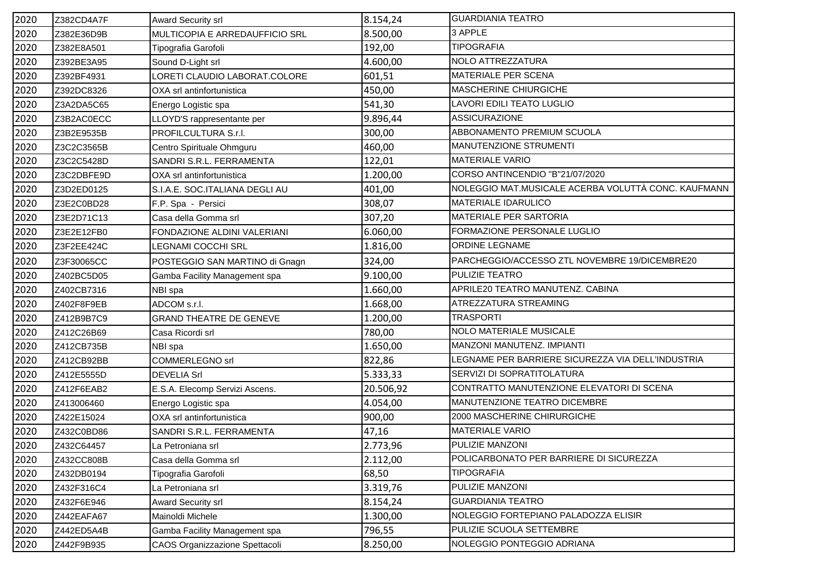| 2020 | Z382CD4A7F | <b>Award Security srl</b>      | 8.154,24  | <b>GUARDIANIA TEATRO</b>                            |
|------|------------|--------------------------------|-----------|-----------------------------------------------------|
| 2020 | Z382E36D9B | MULTICOPIA E ARREDAUFFICIO SRL | 8.500,00  | 3 APPLE                                             |
| 2020 | Z382E8A501 | Tipografia Garofoli            | 192,00    | <b>TIPOGRAFIA</b>                                   |
| 2020 | Z392BE3A95 | Sound D-Light srl              | 4.600,00  | NOLO ATTREZZATURA                                   |
| 2020 | Z392BF4931 | LORETI CLAUDIO LABORAT.COLORE  | 601,51    | MATERIALE PER SCENA                                 |
| 2020 | Z392DC8326 | OXA srl antinfortunistica      | 450,00    | MASCHERINE CHIURGICHE                               |
| 2020 | Z3A2DA5C65 | Energo Logistic spa            | 541,30    | LAVORI EDILI TEATO LUGLIO                           |
| 2020 | Z3B2AC0ECC | LLOYD'S rappresentante per     | 9.896,44  | <b>ASSICURAZIONE</b>                                |
| 2020 | Z3B2E9535B | PROFILCULTURA S.r.I.           | 300,00    | ABBONAMENTO PREMIUM SCUOLA                          |
| 2020 | Z3C2C3565B | Centro Spirituale Ohmguru      | 460,00    | MANUTENZIONE STRUMENTI                              |
| 2020 | Z3C2C5428D | SANDRI S.R.L. FERRAMENTA       | 122,01    | <b>MATERIALE VARIO</b>                              |
| 2020 | Z3C2DBFE9D | OXA srl antinfortunistica      | 1.200,00  | CORSO ANTINCENDIO "B"21/07/2020                     |
| 2020 | Z3D2ED0125 | S.I.A.E. SOC.ITALIANA DEGLI AU | 401,00    | NOLEGGIO MAT.MUSICALE ACERBA VOLUTTÀ CONC. KAUFMANN |
| 2020 | Z3E2C0BD28 | F.P. Spa - Persici             | 308,07    | MATERIALE IDARULICO                                 |
| 2020 | Z3E2D71C13 | Casa della Gomma srl           | 307,20    | <b>MATERIALE PER SARTORIA</b>                       |
| 2020 | Z3E2E12FB0 | FONDAZIONE ALDINI VALERIANI    | 6.060,00  | FORMAZIONE PERSONALE LUGLIO                         |
| 2020 | Z3F2EE424C | LEGNAMI COCCHI SRL             | 1.816,00  | ORDINE LEGNAME                                      |
| 2020 | Z3F30065CC | POSTEGGIO SAN MARTINO di Gnagn | 324,00    | PARCHEGGIO/ACCESSO ZTL NOVEMBRE 19/DICEMBRE20       |
| 2020 | Z402BC5D05 | Gamba Facility Management spa  | 9.100,00  | PULIZIE TEATRO                                      |
| 2020 | Z402CB7316 | NBI spa                        | 1.660,00  | APRILE20 TEATRO MANUTENZ. CABINA                    |
| 2020 | Z402F8F9EB | ADCOM s.r.l.                   | 1.668,00  | ATREZZATURA STREAMING                               |
| 2020 | Z412B9B7C9 | <b>GRAND THEATRE DE GENEVE</b> | 1.200,00  | <b>TRASPORTI</b>                                    |
| 2020 | Z412C26B69 | Casa Ricordi srl               | 780,00    | NOLO MATERIALE MUSICALE                             |
| 2020 | Z412CB735B | NBI spa                        | 1.650,00  | MANZONI MANUTENZ. IMPIANTI                          |
| 2020 | Z412CB92BB | <b>COMMERLEGNO srl</b>         | 822,86    | LEGNAME PER BARRIERE SICUREZZA VIA DELL'INDUSTRIA   |
| 2020 | Z412E5555D | <b>DEVELIA Srl</b>             | 5.333,33  | SERVIZI DI SOPRATITOLATURA                          |
| 2020 | Z412F6EAB2 | E.S.A. Elecomp Servizi Ascens. | 20.506,92 | CONTRATTO MANUTENZIONE ELEVATORI DI SCENA           |
| 2020 | Z413006460 | Energo Logistic spa            | 4.054,00  | MANUTENZIONE TEATRO DICEMBRE                        |
| 2020 | Z422E15024 | OXA srl antinfortunistica      | 900,00    | 2000 MASCHERINE CHIRURGICHE                         |
| 2020 | Z432C0BD86 | SANDRI S.R.L. FERRAMENTA       | 47,16     | <b>MATERIALE VARIO</b>                              |
| 2020 | Z432C64457 | La Petroniana srl              | 2.773,96  | PULIZIE MANZONI                                     |
| 2020 | Z432CC808B | Casa della Gomma srl           | 2.112,00  | POLICARBONATO PER BARRIERE DI SICUREZZA             |
| 2020 | Z432DB0194 | Tipografia Garofoli            | 68,50     | <b>TIPOGRAFIA</b>                                   |
| 2020 | Z432F316C4 | La Petroniana srl              | 3.319,76  | PULIZIE MANZONI                                     |
| 2020 | Z432F6E946 | Award Security srl             | 8.154,24  | <b>GUARDIANIA TEATRO</b>                            |
| 2020 | Z442EAFA67 | Mainoldi Michele               | 1.300,00  | NOLEGGIO FORTEPIANO PALADOZZA ELISIR                |
| 2020 | Z442ED5A4B | Gamba Facility Management spa  | 796,55    | PULIZIE SCUOLA SETTEMBRE                            |
| 2020 | Z442F9B935 | CAOS Organizzazione Spettacoli | 8.250,00  | NOLEGGIO PONTEGGIO ADRIANA                          |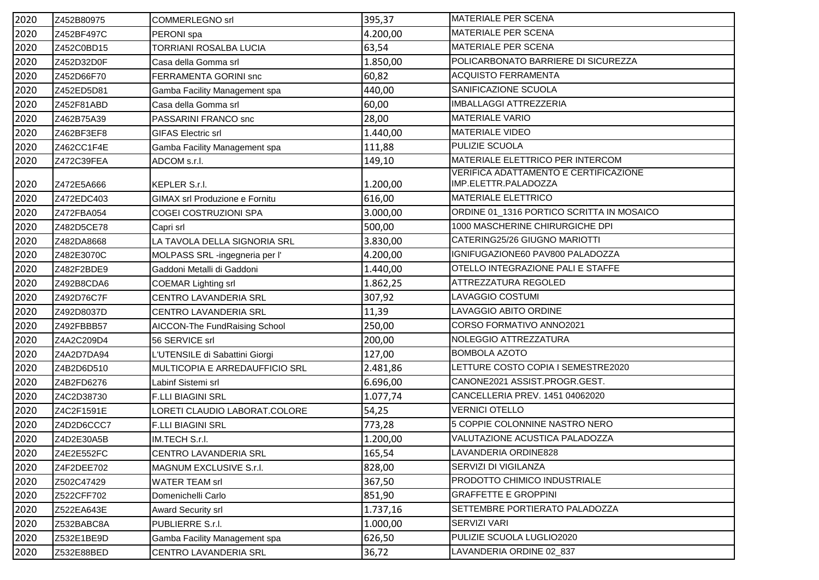| 2020 | Z452B80975 | <b>COMMERLEGNO srl</b>                | 395,37   | <b>MATERIALE PER SCENA</b>                                    |
|------|------------|---------------------------------------|----------|---------------------------------------------------------------|
| 2020 | Z452BF497C | PERONI spa                            | 4.200,00 | <b>MATERIALE PER SCENA</b>                                    |
| 2020 | Z452C0BD15 | TORRIANI ROSALBA LUCIA                | 63,54    | <b>MATERIALE PER SCENA</b>                                    |
| 2020 | Z452D32D0F | Casa della Gomma srl                  | 1.850,00 | POLICARBONATO BARRIERE DI SICUREZZA                           |
| 2020 | Z452D66F70 | FERRAMENTA GORINI snc                 | 60,82    | <b>ACQUISTO FERRAMENTA</b>                                    |
| 2020 | Z452ED5D81 | Gamba Facility Management spa         | 440,00   | SANIFICAZIONE SCUOLA                                          |
| 2020 | Z452F81ABD | Casa della Gomma srl                  | 60,00    | <b>IMBALLAGGI ATTREZZERIA</b>                                 |
| 2020 | Z462B75A39 | PASSARINI FRANCO snc                  | 28,00    | <b>MATERIALE VARIO</b>                                        |
| 2020 | Z462BF3EF8 | <b>GIFAS Electric srl</b>             | 1.440,00 | <b>MATERIALE VIDEO</b>                                        |
| 2020 | Z462CC1F4E | Gamba Facility Management spa         | 111,88   | PULIZIE SCUOLA                                                |
| 2020 | Z472C39FEA | ADCOM s.r.l.                          | 149,10   | MATERIALE ELETTRICO PER INTERCOM                              |
| 2020 | Z472E5A666 | <b>KEPLER S.r.I.</b>                  | 1.200,00 | VERIFICA ADATTAMENTO E CERTIFICAZIONE<br>IMP.ELETTR.PALADOZZA |
| 2020 | Z472EDC403 | GIMAX srl Produzione e Fornitu        | 616,00   | MATERIALE ELETTRICO                                           |
| 2020 | Z472FBA054 | COGEI COSTRUZIONI SPA                 | 3.000,00 | ORDINE 01_1316 PORTICO SCRITTA IN MOSAICO                     |
| 2020 | Z482D5CE78 | Capri srl                             | 500,00   | 1000 MASCHERINE CHIRURGICHE DPI                               |
| 2020 | Z482DA8668 | LA TAVOLA DELLA SIGNORIA SRL          | 3.830,00 | CATERING25/26 GIUGNO MARIOTTI                                 |
| 2020 | Z482E3070C | MOLPASS SRL -ingegneria per l'        | 4.200,00 | IGNIFUGAZIONE60 PAV800 PALADOZZA                              |
| 2020 | Z482F2BDE9 | Gaddoni Metalli di Gaddoni            | 1.440,00 | OTELLO INTEGRAZIONE PALI E STAFFE                             |
| 2020 | Z492B8CDA6 | <b>COEMAR Lighting srl</b>            | 1.862,25 | ATTREZZATURA REGOLED                                          |
| 2020 | Z492D76C7F | CENTRO LAVANDERIA SRL                 | 307,92   | LAVAGGIO COSTUMI                                              |
| 2020 | Z492D8037D | CENTRO LAVANDERIA SRL                 | 11,39    | LAVAGGIO ABITO ORDINE                                         |
| 2020 | Z492FBBB57 | AICCON-The FundRaising School         | 250,00   | CORSO FORMATIVO ANNO2021                                      |
| 2020 | Z4A2C209D4 | 56 SERVICE srl                        | 200,00   | NOLEGGIO ATTREZZATURA                                         |
| 2020 | Z4A2D7DA94 | L'UTENSILE di Sabattini Giorgi        | 127,00   | <b>BOMBOLA AZOTO</b>                                          |
| 2020 | Z4B2D6D510 | <b>MULTICOPIA E ARREDAUFFICIO SRL</b> | 2.481,86 | LETTURE COSTO COPIA I SEMESTRE2020                            |
| 2020 | Z4B2FD6276 | Labinf Sistemi srl                    | 6.696,00 | CANONE2021 ASSIST.PROGR.GEST.                                 |
| 2020 | Z4C2D38730 | <b>F.LLI BIAGINI SRL</b>              | 1.077,74 | CANCELLERIA PREV. 1451 04062020                               |
| 2020 | Z4C2F1591E | LORETI CLAUDIO LABORAT.COLORE         | 54,25    | <b>VERNICI OTELLO</b>                                         |
| 2020 | Z4D2D6CCC7 | <b>F.LLI BIAGINI SRL</b>              | 773,28   | 5 COPPIE COLONNINE NASTRO NERO                                |
| 2020 | Z4D2E30A5B | IM.TECH S.r.l.                        | 1.200,00 | VALUTAZIONE ACUSTICA PALADOZZA                                |
| 2020 | Z4E2E552FC | CENTRO LAVANDERIA SRL                 | 165,54   | LAVANDERIA ORDINE828                                          |
| 2020 | Z4F2DEE702 | MAGNUM EXCLUSIVE S.r.l.               | 828,00   | SERVIZI DI VIGILANZA                                          |
| 2020 | Z502C47429 | <b>WATER TEAM srl</b>                 | 367,50   | PRODOTTO CHIMICO INDUSTRIALE                                  |
| 2020 | Z522CFF702 | Domenichelli Carlo                    | 851,90   | <b>GRAFFETTE E GROPPINI</b>                                   |
| 2020 | Z522EA643E | <b>Award Security srl</b>             | 1.737,16 | SETTEMBRE PORTIERATO PALADOZZA                                |
| 2020 | Z532BABC8A | PUBLIERRE S.r.I.                      | 1.000,00 | SERVIZI VARI                                                  |
| 2020 | Z532E1BE9D | Gamba Facility Management spa         | 626,50   | PULIZIE SCUOLA LUGLIO2020                                     |
| 2020 | Z532E88BED | CENTRO LAVANDERIA SRL                 | 36,72    | LAVANDERIA ORDINE 02_837                                      |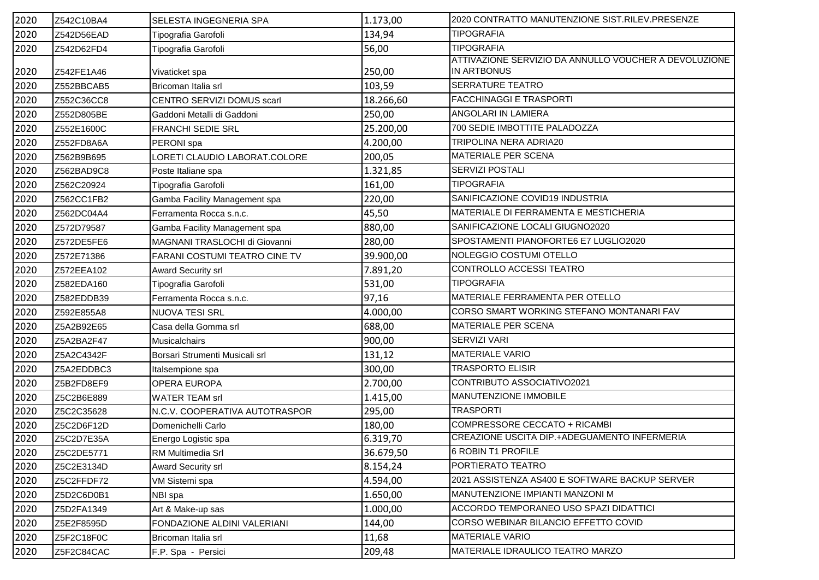| 2020 | Z542C10BA4 | SELESTA INGEGNERIA SPA         | 1.173,00  | 2020 CONTRATTO MANUTENZIONE SIST.RILEV.PRESENZE       |
|------|------------|--------------------------------|-----------|-------------------------------------------------------|
| 2020 | Z542D56EAD | Tipografia Garofoli            | 134,94    | <b>TIPOGRAFIA</b>                                     |
| 2020 | Z542D62FD4 | Tipografia Garofoli            | 56,00     | <b>TIPOGRAFIA</b>                                     |
|      |            |                                |           | ATTIVAZIONE SERVIZIO DA ANNULLO VOUCHER A DEVOLUZIONE |
| 2020 | Z542FE1A46 | Vivaticket spa                 | 250,00    | <b>IN ARTBONUS</b>                                    |
| 2020 | Z552BBCAB5 | Bricoman Italia srl            | 103,59    | <b>SERRATURE TEATRO</b>                               |
| 2020 | Z552C36CC8 | CENTRO SERVIZI DOMUS scarl     | 18.266,60 | <b>FACCHINAGGI E TRASPORTI</b>                        |
| 2020 | Z552D805BE | Gaddoni Metalli di Gaddoni     | 250,00    | ANGOLARI IN LAMIERA                                   |
| 2020 | Z552E1600C | <b>FRANCHI SEDIE SRL</b>       | 25.200,00 | 700 SEDIE IMBOTTITE PALADOZZA                         |
| 2020 | Z552FD8A6A | PERONI spa                     | 4.200,00  | TRIPOLINA NERA ADRIA20                                |
| 2020 | Z562B9B695 | LORETI CLAUDIO LABORAT.COLORE  | 200,05    | <b>MATERIALE PER SCENA</b>                            |
| 2020 | Z562BAD9C8 | Poste Italiane spa             | 1.321,85  | <b>SERVIZI POSTALI</b>                                |
| 2020 | Z562C20924 | Tipografia Garofoli            | 161,00    | <b>TIPOGRAFIA</b>                                     |
| 2020 | Z562CC1FB2 | Gamba Facility Management spa  | 220,00    | SANIFICAZIONE COVID19 INDUSTRIA                       |
| 2020 | Z562DC04A4 | Ferramenta Rocca s.n.c.        | 45,50     | MATERIALE DI FERRAMENTA E MESTICHERIA                 |
| 2020 | Z572D79587 | Gamba Facility Management spa  | 880,00    | SANIFICAZIONE LOCALI GIUGNO2020                       |
| 2020 | Z572DE5FE6 | MAGNANI TRASLOCHI di Giovanni  | 280,00    | SPOSTAMENTI PIANOFORTE6 E7 LUGLIO2020                 |
| 2020 | Z572E71386 | FARANI COSTUMI TEATRO CINE TV  | 39.900,00 | NOLEGGIO COSTUMI OTELLO                               |
| 2020 | Z572EEA102 | Award Security srl             | 7.891,20  | CONTROLLO ACCESSI TEATRO                              |
| 2020 | Z582EDA160 | Tipografia Garofoli            | 531,00    | <b>TIPOGRAFIA</b>                                     |
| 2020 | Z582EDDB39 | Ferramenta Rocca s.n.c.        | 97,16     | MATERIALE FERRAMENTA PER OTELLO                       |
| 2020 | Z592E855A8 | NUOVA TESI SRL                 | 4.000,00  | CORSO SMART WORKING STEFANO MONTANARI FAV             |
| 2020 | Z5A2B92E65 | Casa della Gomma srl           | 688,00    | MATERIALE PER SCENA                                   |
| 2020 | Z5A2BA2F47 | <b>Musicalchairs</b>           | 900,00    | <b>SERVIZI VARI</b>                                   |
| 2020 | Z5A2C4342F | Borsari Strumenti Musicali srl | 131,12    | <b>MATERIALE VARIO</b>                                |
| 2020 | Z5A2EDDBC3 | Italsempione spa               | 300,00    | <b>TRASPORTO ELISIR</b>                               |
| 2020 | Z5B2FD8EF9 | OPERA EUROPA                   | 2.700,00  | CONTRIBUTO ASSOCIATIVO2021                            |
| 2020 | Z5C2B6E889 | <b>WATER TEAM srl</b>          | 1.415,00  | MANUTENZIONE IMMOBILE                                 |
| 2020 | Z5C2C35628 | N.C.V. COOPERATIVA AUTOTRASPOR | 295,00    | <b>TRASPORTI</b>                                      |
| 2020 | Z5C2D6F12D | Domenichelli Carlo             | 180,00    | COMPRESSORE CECCATO + RICAMBI                         |
| 2020 | Z5C2D7E35A | Energo Logistic spa            | 6.319,70  | CREAZIONE USCITA DIP.+ADEGUAMENTO INFERMERIA          |
| 2020 | Z5C2DE5771 | RM Multimedia Srl              | 36.679,50 | 6 ROBIN T1 PROFILE                                    |
| 2020 | Z5C2E3134D | <b>Award Security srl</b>      | 8.154,24  | PORTIERATO TEATRO                                     |
| 2020 | Z5C2FFDF72 | VM Sistemi spa                 | 4.594,00  | 2021 ASSISTENZA AS400 E SOFTWARE BACKUP SERVER        |
| 2020 | Z5D2C6D0B1 | NBI spa                        | 1.650,00  | MANUTENZIONE IMPIANTI MANZONI M                       |
| 2020 | Z5D2FA1349 | Art & Make-up sas              | 1.000,00  | ACCORDO TEMPORANEO USO SPAZI DIDATTICI                |
| 2020 | Z5E2F8595D | FONDAZIONE ALDINI VALERIANI    | 144,00    | CORSO WEBINAR BILANCIO EFFETTO COVID                  |
| 2020 | Z5F2C18F0C | Bricoman Italia srl            | 11,68     | <b>MATERIALE VARIO</b>                                |
| 2020 | Z5F2C84CAC | F.P. Spa - Persici             | 209,48    | MATERIALE IDRAULICO TEATRO MARZO                      |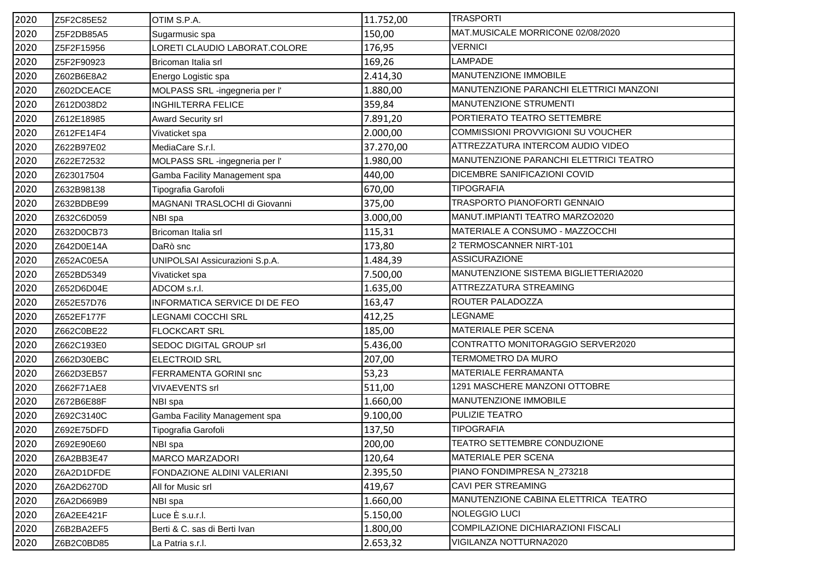| 2020 | Z5F2C85E52 | OTIM S.P.A.                    | 11.752,00 | <b>TRASPORTI</b>                        |
|------|------------|--------------------------------|-----------|-----------------------------------------|
| 2020 | Z5F2DB85A5 | Sugarmusic spa                 | 150,00    | MAT.MUSICALE MORRICONE 02/08/2020       |
| 2020 | Z5F2F15956 | LORETI CLAUDIO LABORAT.COLORE  | 176,95    | <b>VERNICI</b>                          |
| 2020 | Z5F2F90923 | Bricoman Italia srl            | 169,26    | <b>LAMPADE</b>                          |
| 2020 | Z602B6E8A2 | Energo Logistic spa            | 2.414,30  | MANUTENZIONE IMMOBILE                   |
| 2020 | Z602DCEACE | MOLPASS SRL -ingegneria per l' | 1.880,00  | MANUTENZIONE PARANCHI ELETTRICI MANZONI |
| 2020 | Z612D038D2 | <b>INGHILTERRA FELICE</b>      | 359,84    | MANUTENZIONE STRUMENTI                  |
| 2020 | Z612E18985 | <b>Award Security srl</b>      | 7.891,20  | PORTIERATO TEATRO SETTEMBRE             |
| 2020 | Z612FE14F4 | Vivaticket spa                 | 2.000,00  | COMMISSIONI PROVVIGIONI SU VOUCHER      |
| 2020 | Z622B97E02 | MediaCare S.r.l.               | 37.270,00 | ATTREZZATURA INTERCOM AUDIO VIDEO       |
| 2020 | Z622E72532 | MOLPASS SRL -ingegneria per l' | 1.980,00  | MANUTENZIONE PARANCHI ELETTRICI TEATRO  |
| 2020 | Z623017504 | Gamba Facility Management spa  | 440,00    | DICEMBRE SANIFICAZIONI COVID            |
| 2020 | Z632B98138 | Tipografia Garofoli            | 670,00    | <b>TIPOGRAFIA</b>                       |
| 2020 | Z632BDBE99 | MAGNANI TRASLOCHI di Giovanni  | 375,00    | TRASPORTO PIANOFORTI GENNAIO            |
| 2020 | Z632C6D059 | NBI spa                        | 3.000,00  | MANUT.IMPIANTI TEATRO MARZO2020         |
| 2020 | Z632D0CB73 | Bricoman Italia srl            | 115,31    | MATERIALE A CONSUMO - MAZZOCCHI         |
| 2020 | Z642D0E14A | DaRò snc                       | 173,80    | 2 TERMOSCANNER NIRT-101                 |
| 2020 | Z652AC0E5A | UNIPOLSAI Assicurazioni S.p.A. | 1.484,39  | <b>ASSICURAZIONE</b>                    |
| 2020 | Z652BD5349 | Vivaticket spa                 | 7.500,00  | MANUTENZIONE SISTEMA BIGLIETTERIA2020   |
| 2020 | Z652D6D04E | ADCOM s.r.l.                   | 1.635,00  | ATTREZZATURA STREAMING                  |
| 2020 | Z652E57D76 | INFORMATICA SERVICE DI DE FEO  | 163,47    | ROUTER PALADOZZA                        |
| 2020 | Z652EF177F | LEGNAMI COCCHI SRL             | 412,25    | <b>LEGNAME</b>                          |
| 2020 | Z662C0BE22 | <b>FLOCKCART SRL</b>           | 185,00    | MATERIALE PER SCENA                     |
| 2020 | Z662C193E0 | SEDOC DIGITAL GROUP srl        | 5.436,00  | CONTRATTO MONITORAGGIO SERVER2020       |
| 2020 | Z662D30EBC | <b>ELECTROID SRL</b>           | 207,00    | TERMOMETRO DA MURO                      |
| 2020 | Z662D3EB57 | FERRAMENTA GORINI snc          | 53,23     | MATERIALE FERRAMANTA                    |
| 2020 | Z662F71AE8 | <b>VIVAEVENTS srl</b>          | 511,00    | 1291 MASCHERE MANZONI OTTOBRE           |
| 2020 | Z672B6E88F | NBI spa                        | 1.660,00  | MANUTENZIONE IMMOBILE                   |
| 2020 | Z692C3140C | Gamba Facility Management spa  | 9.100,00  | PULIZIE TEATRO                          |
| 2020 | Z692E75DFD | Tipografia Garofoli            | 137,50    | <b>TIPOGRAFIA</b>                       |
| 2020 | Z692E90E60 | NBI spa                        | 200,00    | <b>TEATRO SETTEMBRE CONDUZIONE</b>      |
| 2020 | Z6A2BB3E47 | <b>MARCO MARZADORI</b>         | 120,64    | <b>MATERIALE PER SCENA</b>              |
| 2020 | Z6A2D1DFDE | FONDAZIONE ALDINI VALERIANI    | 2.395,50  | PIANO FONDIMPRESA N_273218              |
| 2020 | Z6A2D6270D | All for Music srl              | 419,67    | CAVI PER STREAMING                      |
| 2020 | Z6A2D669B9 | NBI spa                        | 1.660,00  | MANUTENZIONE CABINA ELETTRICA TEATRO    |
| 2020 | Z6A2EE421F | Luce È s.u.r.l.                | 5.150,00  | NOLEGGIO LUCI                           |
| 2020 | Z6B2BA2EF5 | Berti & C. sas di Berti Ivan   | 1.800,00  | COMPILAZIONE DICHIARAZIONI FISCALI      |
| 2020 | Z6B2C0BD85 | La Patria s.r.l.               | 2.653,32  | VIGILANZA NOTTURNA2020                  |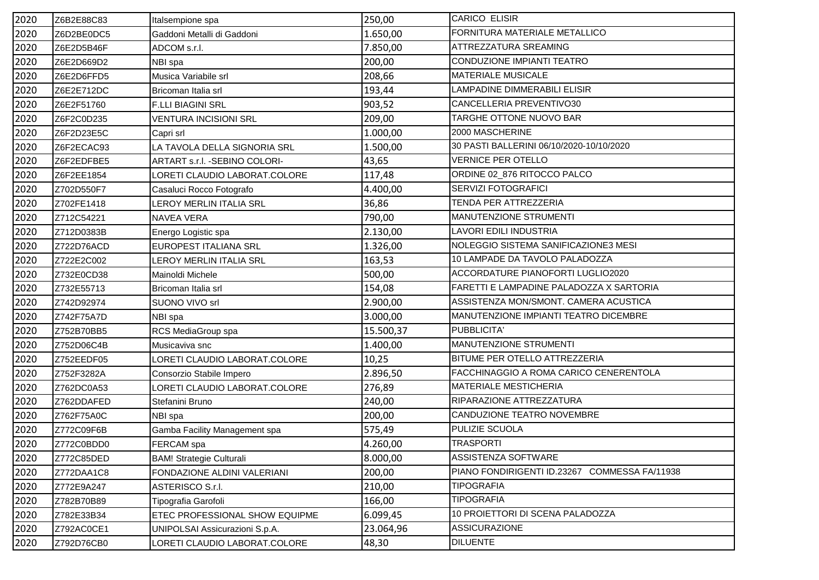| 2020 | Z6B2E88C83 | Italsempione spa                | 250,00    | <b>CARICO ELISIR</b>                          |
|------|------------|---------------------------------|-----------|-----------------------------------------------|
| 2020 | Z6D2BE0DC5 | Gaddoni Metalli di Gaddoni      | 1.650,00  | FORNITURA MATERIALE METALLICO                 |
| 2020 | Z6E2D5B46F | ADCOM s.r.l.                    | 7.850,00  | ATTREZZATURA SREAMING                         |
| 2020 | Z6E2D669D2 | NBI spa                         | 200,00    | CONDUZIONE IMPIANTI TEATRO                    |
| 2020 | Z6E2D6FFD5 | Musica Variabile srl            | 208,66    | MATERIALE MUSICALE                            |
| 2020 | Z6E2E712DC | Bricoman Italia srl             | 193,44    | LAMPADINE DIMMERABILI ELISIR                  |
| 2020 | Z6E2F51760 | <b>F.LLI BIAGINI SRL</b>        | 903,52    | CANCELLERIA PREVENTIVO30                      |
| 2020 | Z6F2C0D235 | <b>VENTURA INCISIONI SRL</b>    | 209,00    | TARGHE OTTONE NUOVO BAR                       |
| 2020 | Z6F2D23E5C | Capri srl                       | 1.000,00  | 2000 MASCHERINE                               |
| 2020 | Z6F2ECAC93 | LA TAVOLA DELLA SIGNORIA SRL    | 1.500,00  | 30 PASTI BALLERINI 06/10/2020-10/10/2020      |
| 2020 | Z6F2EDFBE5 | ARTART s.r.l. - SEBINO COLORI-  | 43,65     | <b>VERNICE PER OTELLO</b>                     |
| 2020 | Z6F2EE1854 | LORETI CLAUDIO LABORAT.COLORE   | 117,48    | ORDINE 02_876 RITOCCO PALCO                   |
| 2020 | Z702D550F7 | Casaluci Rocco Fotografo        | 4.400,00  | SERVIZI FOTOGRAFICI                           |
| 2020 | Z702FE1418 | LEROY MERLIN ITALIA SRL         | 36,86     | TENDA PER ATTREZZERIA                         |
| 2020 | Z712C54221 | NAVEA VERA                      | 790,00    | MANUTENZIONE STRUMENTI                        |
| 2020 | Z712D0383B | Energo Logistic spa             | 2.130,00  | LAVORI EDILI INDUSTRIA                        |
| 2020 | Z722D76ACD | <b>EUROPEST ITALIANA SRL</b>    | 1.326,00  | NOLEGGIO SISTEMA SANIFICAZIONE3 MESI          |
| 2020 | Z722E2C002 | <b>LEROY MERLIN ITALIA SRL</b>  | 163,53    | 10 LAMPADE DA TAVOLO PALADOZZA                |
| 2020 | Z732E0CD38 | Mainoldi Michele                | 500,00    | ACCORDATURE PIANOFORTI LUGLIO2020             |
| 2020 | Z732E55713 | Bricoman Italia srl             | 154,08    | FARETTI E LAMPADINE PALADOZZA X SARTORIA      |
| 2020 | Z742D92974 | SUONO VIVO srl                  | 2.900,00  | ASSISTENZA MON/SMONT. CAMERA ACUSTICA         |
| 2020 | Z742F75A7D | NBI spa                         | 3.000,00  | MANUTENZIONE IMPIANTI TEATRO DICEMBRE         |
| 2020 | Z752B70BB5 | RCS MediaGroup spa              | 15.500,37 | PUBBLICITA'                                   |
| 2020 | Z752D06C4B | Musicaviva snc                  | 1.400,00  | MANUTENZIONE STRUMENTI                        |
| 2020 | Z752EEDF05 | LORETI CLAUDIO LABORAT.COLORE   | 10,25     | BITUME PER OTELLO ATTREZZERIA                 |
| 2020 | Z752F3282A | Consorzio Stabile Impero        | 2.896,50  | FACCHINAGGIO A ROMA CARICO CENERENTOLA        |
| 2020 | Z762DC0A53 | LORETI CLAUDIO LABORAT.COLORE   | 276,89    | <b>MATERIALE MESTICHERIA</b>                  |
| 2020 | Z762DDAFED | Stefanini Bruno                 | 240,00    | RIPARAZIONE ATTREZZATURA                      |
| 2020 | Z762F75A0C | NBI spa                         | 200,00    | CANDUZIONE TEATRO NOVEMBRE                    |
| 2020 | Z772C09F6B | Gamba Facility Management spa   | 575,49    | PULIZIE SCUOLA                                |
| 2020 | Z772C0BDD0 | <b>FERCAM</b> spa               | 4.260,00  | <b>TRASPORTI</b>                              |
| 2020 | Z772C85DED | <b>BAM! Strategie Culturali</b> | 8.000,00  | ASSISTENZA SOFTWARE                           |
| 2020 | Z772DAA1C8 | FONDAZIONE ALDINI VALERIANI     | 200,00    | PIANO FONDIRIGENTI ID.23267 COMMESSA FA/11938 |
| 2020 | Z772E9A247 | ASTERISCO S.r.I.                | 210,00    | <b>TIPOGRAFIA</b>                             |
| 2020 | Z782B70B89 | Tipografia Garofoli             | 166,00    | <b>TIPOGRAFIA</b>                             |
| 2020 | Z782E33B34 | ETEC PROFESSIONAL SHOW EQUIPME  | 6.099,45  | 10 PROIETTORI DI SCENA PALADOZZA              |
| 2020 | Z792AC0CE1 | UNIPOLSAI Assicurazioni S.p.A.  | 23.064,96 | <b>ASSICURAZIONE</b>                          |
| 2020 | Z792D76CB0 | LORETI CLAUDIO LABORAT.COLORE   | 48,30     | <b>DILUENTE</b>                               |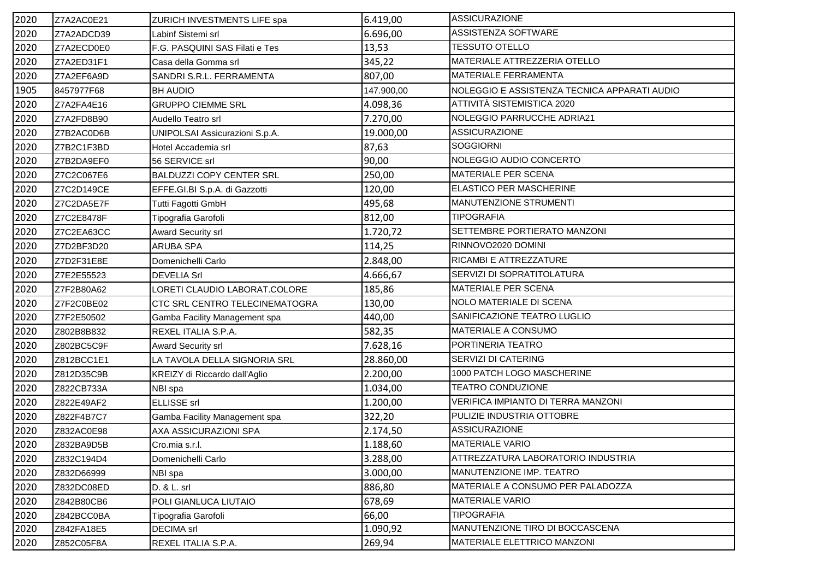| 2020 | Z7A2AC0E21 | ZURICH INVESTMENTS LIFE spa     | 6.419,00   | <b>ASSICURAZIONE</b>                         |
|------|------------|---------------------------------|------------|----------------------------------------------|
| 2020 | Z7A2ADCD39 | Labinf Sistemi srl              | 6.696,00   | ASSISTENZA SOFTWARE                          |
| 2020 | Z7A2ECD0E0 | F.G. PASQUINI SAS Filati e Tes  | 13,53      | <b>TESSUTO OTELLO</b>                        |
| 2020 | Z7A2ED31F1 | Casa della Gomma srl            | 345,22     | MATERIALE ATTREZZERIA OTELLO                 |
| 2020 | Z7A2EF6A9D | SANDRI S.R.L. FERRAMENTA        | 807,00     | <b>MATERIALE FERRAMENTA</b>                  |
| 1905 | 8457977F68 | <b>BH AUDIO</b>                 | 147.900,00 | NOLEGGIO E ASSISTENZA TECNICA APPARATI AUDIO |
| 2020 | Z7A2FA4E16 | <b>GRUPPO CIEMME SRL</b>        | 4.098,36   | ATTIVITÀ SISTEMISTICA 2020                   |
| 2020 | Z7A2FD8B90 | Audello Teatro srl              | 7.270,00   | NOLEGGIO PARRUCCHE ADRIA21                   |
| 2020 | Z7B2AC0D6B | UNIPOLSAI Assicurazioni S.p.A.  | 19.000,00  | <b>ASSICURAZIONE</b>                         |
| 2020 | Z7B2C1F3BD | Hotel Accademia srl             | 87,63      | <b>SOGGIORNI</b>                             |
| 2020 | Z7B2DA9EF0 | 56 SERVICE srl                  | 90,00      | NOLEGGIO AUDIO CONCERTO                      |
| 2020 | Z7C2C067E6 | <b>BALDUZZI COPY CENTER SRL</b> | 250,00     | MATERIALE PER SCENA                          |
| 2020 | Z7C2D149CE | EFFE.GI.BI S.p.A. di Gazzotti   | 120,00     | <b>ELASTICO PER MASCHERINE</b>               |
| 2020 | Z7C2DA5E7F | Tutti Fagotti GmbH              | 495,68     | MANUTENZIONE STRUMENTI                       |
| 2020 | Z7C2E8478F | Tipografia Garofoli             | 812,00     | <b>TIPOGRAFIA</b>                            |
| 2020 | Z7C2EA63CC | Award Security srl              | 1.720,72   | SETTEMBRE PORTIERATO MANZONI                 |
| 2020 | Z7D2BF3D20 | ARUBA SPA                       | 114,25     | RINNOVO2020 DOMINI                           |
| 2020 | Z7D2F31E8E | Domenichelli Carlo              | 2.848,00   | RICAMBI E ATTREZZATURE                       |
| 2020 | Z7E2E55523 | <b>DEVELIA Srl</b>              | 4.666,67   | SERVIZI DI SOPRATITOLATURA                   |
| 2020 | Z7F2B80A62 | LORETI CLAUDIO LABORAT.COLORE   | 185,86     | <b>MATERIALE PER SCENA</b>                   |
| 2020 | Z7F2C0BE02 | CTC SRL CENTRO TELECINEMATOGRA  | 130,00     | NOLO MATERIALE DI SCENA                      |
| 2020 | Z7F2E50502 | Gamba Facility Management spa   | 440,00     | SANIFICAZIONE TEATRO LUGLIO                  |
| 2020 | Z802B8B832 | REXEL ITALIA S.P.A.             | 582,35     | MATERIALE A CONSUMO                          |
| 2020 | Z802BC5C9F | Award Security srl              | 7.628,16   | PORTINERIA TEATRO                            |
| 2020 | Z812BCC1E1 | LA TAVOLA DELLA SIGNORIA SRL    | 28.860,00  | SERVIZI DI CATERING                          |
| 2020 | Z812D35C9B | KREIZY di Riccardo dall'Aglio   | 2.200,00   | 1000 PATCH LOGO MASCHERINE                   |
| 2020 | Z822CB733A | NBI spa                         | 1.034,00   | <b>TEATRO CONDUZIONE</b>                     |
| 2020 | Z822E49AF2 | <b>ELLISSE</b> srl              | 1.200,00   | VERIFICA IMPIANTO DI TERRA MANZONI           |
| 2020 | Z822F4B7C7 | Gamba Facility Management spa   | 322,20     | PULIZIE INDUSTRIA OTTOBRE                    |
| 2020 | Z832AC0E98 | AXA ASSICURAZIONI SPA           | 2.174,50   | <b>ASSICURAZIONE</b>                         |
| 2020 | Z832BA9D5B | Cro.mia s.r.l.                  | 1.188,60   | <b>MATERIALE VARIO</b>                       |
| 2020 | Z832C194D4 | Domenichelli Carlo              | 3.288,00   | ATTREZZATURA LABORATORIO INDUSTRIA           |
| 2020 | Z832D66999 | NBI spa                         | 3.000,00   | MANUTENZIONE IMP. TEATRO                     |
| 2020 | Z832DC08ED | D. & L. srl                     | 886,80     | MATERIALE A CONSUMO PER PALADOZZA            |
| 2020 | Z842B80CB6 | POLI GIANLUCA LIUTAIO           | 678,69     | <b>MATERIALE VARIO</b>                       |
| 2020 | Z842BCC0BA | Tipografia Garofoli             | 66,00      | <b>TIPOGRAFIA</b>                            |
| 2020 | Z842FA18E5 | <b>DECIMA</b> srl               | 1.090,92   | MANUTENZIONE TIRO DI BOCCASCENA              |
| 2020 | Z852C05F8A | REXEL ITALIA S.P.A.             | 269,94     | <b>MATERIALE ELETTRICO MANZONI</b>           |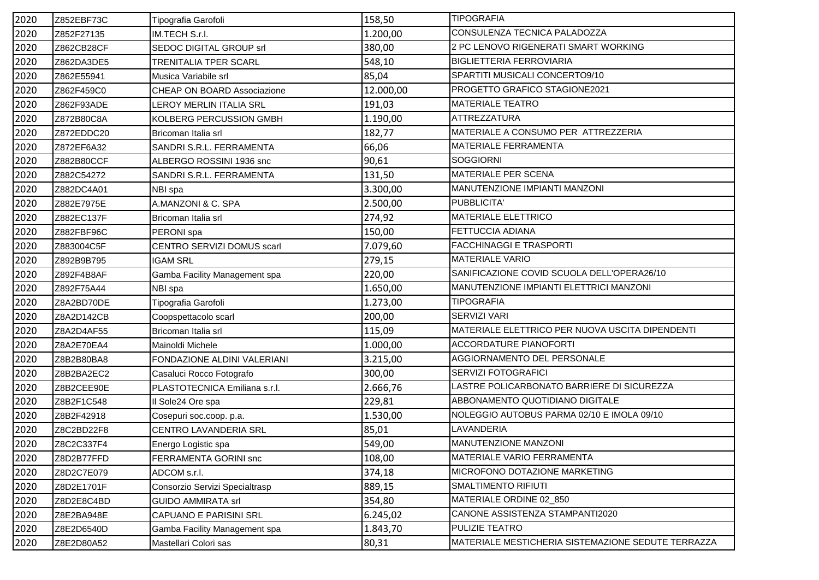| 2020 | Z852EBF73C | Tipografia Garofoli            | 158,50    | <b>TIPOGRAFIA</b>                                  |
|------|------------|--------------------------------|-----------|----------------------------------------------------|
| 2020 | Z852F27135 | IM.TECH S.r.l.                 | 1.200,00  | CONSULENZA TECNICA PALADOZZA                       |
| 2020 | Z862CB28CF | SEDOC DIGITAL GROUP srl        | 380,00    | 2 PC LENOVO RIGENERATI SMART WORKING               |
| 2020 | Z862DA3DE5 | <b>TRENITALIA TPER SCARL</b>   | 548,10    | <b>BIGLIETTERIA FERROVIARIA</b>                    |
| 2020 | Z862E55941 | Musica Variabile srl           | 85,04     | SPARTITI MUSICALI CONCERTO9/10                     |
| 2020 | Z862F459C0 | CHEAP ON BOARD Associazione    | 12.000,00 | PROGETTO GRAFICO STAGIONE2021                      |
| 2020 | Z862F93ADE | LEROY MERLIN ITALIA SRL        | 191,03    | <b>MATERIALE TEATRO</b>                            |
| 2020 | Z872B80C8A | KOLBERG PERCUSSION GMBH        | 1.190,00  | ATTREZZATURA                                       |
| 2020 | Z872EDDC20 | Bricoman Italia srl            | 182,77    | MATERIALE A CONSUMO PER ATTREZZERIA                |
| 2020 | Z872EF6A32 | SANDRI S.R.L. FERRAMENTA       | 66,06     | MATERIALE FERRAMENTA                               |
| 2020 | Z882B80CCF | ALBERGO ROSSINI 1936 snc       | 90,61     | <b>SOGGIORNI</b>                                   |
| 2020 | Z882C54272 | SANDRI S.R.L. FERRAMENTA       | 131,50    | MATERIALE PER SCENA                                |
| 2020 | Z882DC4A01 | NBI spa                        | 3.300,00  | MANUTENZIONE IMPIANTI MANZONI                      |
| 2020 | Z882E7975E | A.MANZONI & C. SPA             | 2.500,00  | PUBBLICITA'                                        |
| 2020 | Z882EC137F | Bricoman Italia srl            | 274,92    | MATERIALE ELETTRICO                                |
| 2020 | Z882FBF96C | PERONI spa                     | 150,00    | FETTUCCIA ADIANA                                   |
| 2020 | Z883004C5F | CENTRO SERVIZI DOMUS scarl     | 7.079,60  | <b>FACCHINAGGI E TRASPORTI</b>                     |
| 2020 | Z892B9B795 | <b>IGAM SRL</b>                | 279,15    | <b>MATERIALE VARIO</b>                             |
| 2020 | Z892F4B8AF | Gamba Facility Management spa  | 220,00    | SANIFICAZIONE COVID SCUOLA DELL'OPERA26/10         |
| 2020 | Z892F75A44 | NBI spa                        | 1.650,00  | MANUTENZIONE IMPIANTI ELETTRICI MANZONI            |
| 2020 | Z8A2BD70DE | Tipografia Garofoli            | 1.273,00  | <b>TIPOGRAFIA</b>                                  |
| 2020 | Z8A2D142CB | Coopspettacolo scarl           | 200,00    | <b>SERVIZI VARI</b>                                |
| 2020 | Z8A2D4AF55 | Bricoman Italia srl            | 115,09    | MATERIALE ELETTRICO PER NUOVA USCITA DIPENDENTI    |
| 2020 | Z8A2E70EA4 | Mainoldi Michele               | 1.000,00  | <b>ACCORDATURE PIANOFORTI</b>                      |
| 2020 | Z8B2B80BA8 | FONDAZIONE ALDINI VALERIANI    | 3.215,00  | AGGIORNAMENTO DEL PERSONALE                        |
| 2020 | Z8B2BA2EC2 | Casaluci Rocco Fotografo       | 300,00    | SERVIZI FOTOGRAFICI                                |
| 2020 | Z8B2CEE90E | PLASTOTECNICA Emiliana s.r.l.  | 2.666,76  | LASTRE POLICARBONATO BARRIERE DI SICUREZZA         |
| 2020 | Z8B2F1C548 | Il Sole24 Ore spa              | 229,81    | ABBONAMENTO QUOTIDIANO DIGITALE                    |
| 2020 | Z8B2F42918 | Cosepuri soc.coop. p.a.        | 1.530,00  | NOLEGGIO AUTOBUS PARMA 02/10 E IMOLA 09/10         |
| 2020 | Z8C2BD22F8 | CENTRO LAVANDERIA SRL          | 85,01     | LAVANDERIA                                         |
| 2020 | Z8C2C337F4 | Energo Logistic spa            | 549,00    | MANUTENZIONE MANZONI                               |
| 2020 | Z8D2B77FFD | FERRAMENTA GORINI snc          | 108,00    | MATERIALE VARIO FERRAMENTA                         |
| 2020 | Z8D2C7E079 | ADCOM s.r.l.                   | 374,18    | MICROFONO DOTAZIONE MARKETING                      |
| 2020 | Z8D2E1701F | Consorzio Servizi Specialtrasp | 889,15    | <b>SMALTIMENTO RIFIUTI</b>                         |
| 2020 | Z8D2E8C4BD | <b>GUIDO AMMIRATA srl</b>      | 354,80    | MATERIALE ORDINE 02_850                            |
| 2020 | Z8E2BA948E | CAPUANO E PARISINI SRL         | 6.245,02  | CANONE ASSISTENZA STAMPANTI2020                    |
| 2020 | Z8E2D6540D | Gamba Facility Management spa  | 1.843,70  | PULIZIE TEATRO                                     |
| 2020 | Z8E2D80A52 | Mastellari Colori sas          | 80,31     | MATERIALE MESTICHERIA SISTEMAZIONE SEDUTE TERRAZZA |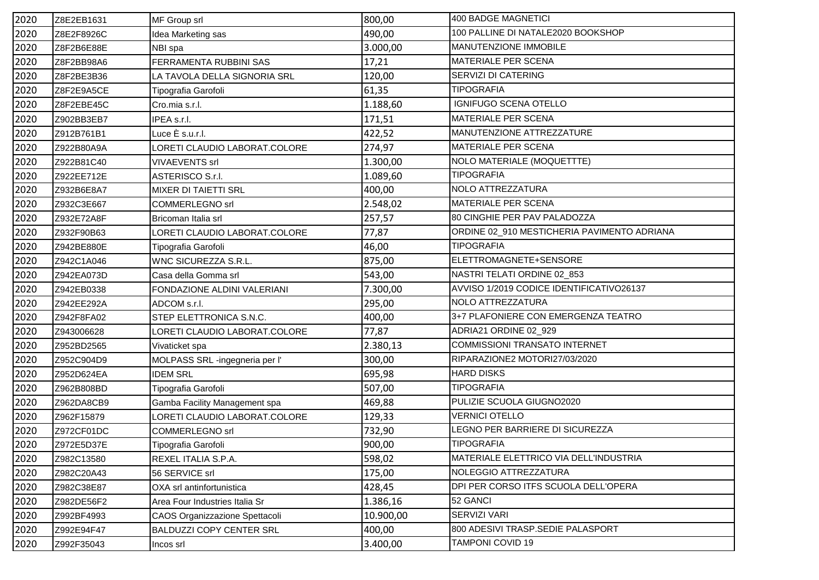| 2020 | Z8E2EB1631 | MF Group srl                    | 800,00    | 400 BADGE MAGNETICI                         |
|------|------------|---------------------------------|-----------|---------------------------------------------|
| 2020 | Z8E2F8926C | Idea Marketing sas              | 490,00    | 100 PALLINE DI NATALE2020 BOOKSHOP          |
| 2020 | Z8F2B6E88E | NBI spa                         | 3.000,00  | MANUTENZIONE IMMOBILE                       |
| 2020 | Z8F2BB98A6 | FERRAMENTA RUBBINI SAS          | 17,21     | MATERIALE PER SCENA                         |
| 2020 | Z8F2BE3B36 | LA TAVOLA DELLA SIGNORIA SRL    | 120,00    | SERVIZI DI CATERING                         |
| 2020 | Z8F2E9A5CE | Tipografia Garofoli             | 61,35     | <b>TIPOGRAFIA</b>                           |
| 2020 | Z8F2EBE45C | Cro.mia s.r.l.                  | 1.188,60  | IGNIFUGO SCENA OTELLO                       |
| 2020 | Z902BB3EB7 | IPEA s.r.l.                     | 171,51    | <b>MATERIALE PER SCENA</b>                  |
| 2020 | Z912B761B1 | Luce È s.u.r.l.                 | 422,52    | MANUTENZIONE ATTREZZATURE                   |
| 2020 | Z922B80A9A | LORETI CLAUDIO LABORAT.COLORE   | 274,97    | <b>MATERIALE PER SCENA</b>                  |
| 2020 | Z922B81C40 | <b>VIVAEVENTS srl</b>           | 1.300,00  | NOLO MATERIALE (MOQUETTTE)                  |
| 2020 | Z922EE712E | ASTERISCO S.r.I.                | 1.089,60  | <b>TIPOGRAFIA</b>                           |
| 2020 | Z932B6E8A7 | <b>MIXER DI TAIETTI SRL</b>     | 400,00    | NOLO ATTREZZATURA                           |
| 2020 | Z932C3E667 | <b>COMMERLEGNO srl</b>          | 2.548,02  | MATERIALE PER SCENA                         |
| 2020 | Z932E72A8F | Bricoman Italia srl             | 257,57    | 80 CINGHIE PER PAV PALADOZZA                |
| 2020 | Z932F90B63 | LORETI CLAUDIO LABORAT.COLORE   | 77,87     | ORDINE 02_910 MESTICHERIA PAVIMENTO ADRIANA |
| 2020 | Z942BE880E | Tipografia Garofoli             | 46,00     | <b>TIPOGRAFIA</b>                           |
| 2020 | Z942C1A046 | WNC SICUREZZA S.R.L.            | 875,00    | ELETTROMAGNETE+SENSORE                      |
| 2020 | Z942EA073D | Casa della Gomma srl            | 543,00    | NASTRI TELATI ORDINE 02_853                 |
| 2020 | Z942EB0338 | FONDAZIONE ALDINI VALERIANI     | 7.300,00  | AVVISO 1/2019 CODICE IDENTIFICATIVO26137    |
| 2020 | Z942EE292A | ADCOM s.r.l.                    | 295,00    | NOLO ATTREZZATURA                           |
| 2020 | Z942F8FA02 | STEP ELETTRONICA S.N.C.         | 400,00    | 3+7 PLAFONIERE CON EMERGENZA TEATRO         |
| 2020 | Z943006628 | LORETI CLAUDIO LABORAT.COLORE   | 77,87     | ADRIA21 ORDINE 02_929                       |
| 2020 | Z952BD2565 | Vivaticket spa                  | 2.380,13  | <b>COMMISSIONI TRANSATO INTERNET</b>        |
| 2020 | Z952C904D9 | MOLPASS SRL -ingegneria per l'  | 300,00    | RIPARAZIONE2 MOTORI27/03/2020               |
| 2020 | Z952D624EA | <b>IDEM SRL</b>                 | 695,98    | <b>HARD DISKS</b>                           |
| 2020 | Z962B808BD | Tipografia Garofoli             | 507,00    | <b>TIPOGRAFIA</b>                           |
| 2020 | Z962DA8CB9 | Gamba Facility Management spa   | 469,88    | PULIZIE SCUOLA GIUGNO2020                   |
| 2020 | Z962F15879 | LORETI CLAUDIO LABORAT.COLORE   | 129,33    | <b>VERNICI OTELLO</b>                       |
| 2020 | Z972CF01DC | <b>COMMERLEGNO srl</b>          | 732,90    | LEGNO PER BARRIERE DI SICUREZZA             |
| 2020 | Z972E5D37E | Tipografia Garofoli             | 900,00    | <b>TIPOGRAFIA</b>                           |
| 2020 | Z982C13580 | REXEL ITALIA S.P.A.             | 598,02    | MATERIALE ELETTRICO VIA DELL'INDUSTRIA      |
| 2020 | Z982C20A43 | 56 SERVICE srl                  | 175,00    | NOLEGGIO ATTREZZATURA                       |
| 2020 | Z982C38E87 | OXA srl antinfortunistica       | 428,45    | DPI PER CORSO ITFS SCUOLA DELL'OPERA        |
| 2020 | Z982DE56F2 | Area Four Industries Italia Sr  | 1.386,16  | 52 GANCI                                    |
| 2020 | Z992BF4993 | CAOS Organizzazione Spettacoli  | 10.900,00 | SERVIZI VARI                                |
| 2020 | Z992E94F47 | <b>BALDUZZI COPY CENTER SRL</b> | 400,00    | 800 ADESIVI TRASP.SEDIE PALASPORT           |
| 2020 | Z992F35043 | Incos srl                       | 3.400,00  | <b>TAMPONI COVID 19</b>                     |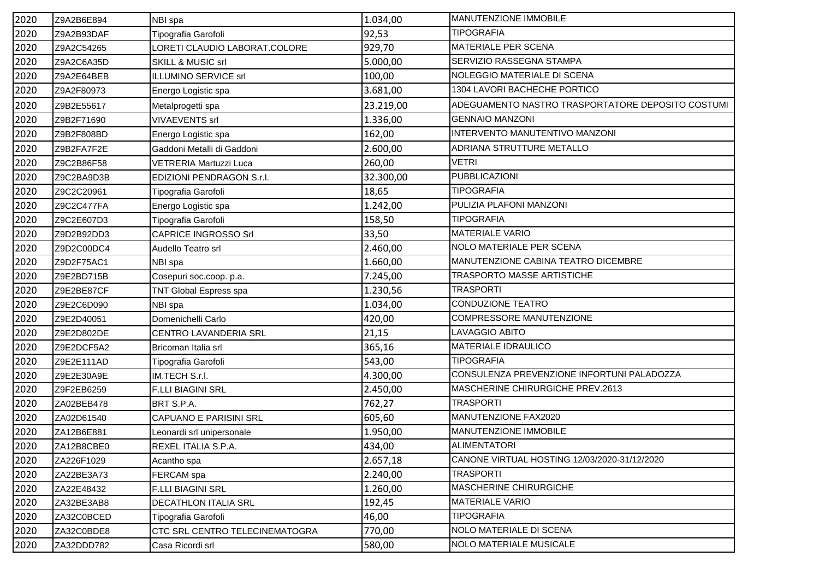| 2020 | Z9A2B6E894 | NBI spa                               | 1.034,00  | <b>MANUTENZIONE IMMOBILE</b>                      |
|------|------------|---------------------------------------|-----------|---------------------------------------------------|
| 2020 | Z9A2B93DAF | Tipografia Garofoli                   | 92,53     | <b>TIPOGRAFIA</b>                                 |
| 2020 | Z9A2C54265 | LORETI CLAUDIO LABORAT.COLORE         | 929,70    | MATERIALE PER SCENA                               |
| 2020 | Z9A2C6A35D | SKILL & MUSIC srl                     | 5.000,00  | SERVIZIO RASSEGNA STAMPA                          |
| 2020 | Z9A2E64BEB | ILLUMINO SERVICE srl                  | 100,00    | NOLEGGIO MATERIALE DI SCENA                       |
| 2020 | Z9A2F80973 | Energo Logistic spa                   | 3.681,00  | 1304 LAVORI BACHECHE PORTICO                      |
| 2020 | Z9B2E55617 | Metalprogetti spa                     | 23.219,00 | ADEGUAMENTO NASTRO TRASPORTATORE DEPOSITO COSTUMI |
| 2020 | Z9B2F71690 | <b>VIVAEVENTS srl</b>                 | 1.336,00  | <b>GENNAIO MANZONI</b>                            |
| 2020 | Z9B2F808BD | Energo Logistic spa                   | 162,00    | INTERVENTO MANUTENTIVO MANZONI                    |
| 2020 | Z9B2FA7F2E | Gaddoni Metalli di Gaddoni            | 2.600,00  | ADRIANA STRUTTURE METALLO                         |
| 2020 | Z9C2B86F58 | VETRERIA Martuzzi Luca                | 260,00    | <b>VETRI</b>                                      |
| 2020 | Z9C2BA9D3B | EDIZIONI PENDRAGON S.r.I.             | 32.300,00 | <b>PUBBLICAZIONI</b>                              |
| 2020 | Z9C2C20961 | Tipografia Garofoli                   | 18,65     | <b>TIPOGRAFIA</b>                                 |
| 2020 | Z9C2C477FA | Energo Logistic spa                   | 1.242,00  | PULIZIA PLAFONI MANZONI                           |
| 2020 | Z9C2E607D3 | Tipografia Garofoli                   | 158,50    | <b>TIPOGRAFIA</b>                                 |
| 2020 | Z9D2B92DD3 | <b>CAPRICE INGROSSO Srl</b>           | 33,50     | <b>MATERIALE VARIO</b>                            |
| 2020 | Z9D2C00DC4 | Audello Teatro srl                    | 2.460,00  | NOLO MATERIALE PER SCENA                          |
| 2020 | Z9D2F75AC1 | NBI spa                               | 1.660,00  | MANUTENZIONE CABINA TEATRO DICEMBRE               |
| 2020 | Z9E2BD715B | Cosepuri soc.coop. p.a.               | 7.245,00  | TRASPORTO MASSE ARTISTICHE                        |
| 2020 | Z9E2BE87CF | TNT Global Espress spa                | 1.230,56  | <b>TRASPORTI</b>                                  |
| 2020 | Z9E2C6D090 | NBI spa                               | 1.034,00  | CONDUZIONE TEATRO                                 |
| 2020 | Z9E2D40051 | Domenichelli Carlo                    | 420,00    | COMPRESSORE MANUTENZIONE                          |
| 2020 | Z9E2D802DE | CENTRO LAVANDERIA SRL                 | 21,15     | LAVAGGIO ABITO                                    |
| 2020 | Z9E2DCF5A2 | Bricoman Italia srl                   | 365,16    | MATERIALE IDRAULICO                               |
| 2020 | Z9E2E111AD | Tipografia Garofoli                   | 543,00    | <b>TIPOGRAFIA</b>                                 |
| 2020 | Z9E2E30A9E | IM.TECH S.r.I.                        | 4.300,00  | CONSULENZA PREVENZIONE INFORTUNI PALADOZZA        |
| 2020 | Z9F2EB6259 | <b>F.LLI BIAGINI SRL</b>              | 2.450,00  | MASCHERINE CHIRURGICHE PREV.2613                  |
| 2020 | ZA02BEB478 | BRT S.P.A.                            | 762,27    | <b>TRASPORTI</b>                                  |
| 2020 | ZA02D61540 | <b>CAPUANO E PARISINI SRL</b>         | 605,60    | MANUTENZIONE FAX2020                              |
| 2020 | ZA12B6E881 | Leonardi srl unipersonale             | 1.950,00  | MANUTENZIONE IMMOBILE                             |
| 2020 | ZA12B8CBE0 | REXEL ITALIA S.P.A.                   | 434,00    | ALIMENTATORI                                      |
| 2020 | ZA226F1029 | Acantho spa                           | 2.657,18  | CANONE VIRTUAL HOSTING 12/03/2020-31/12/2020      |
| 2020 | ZA22BE3A73 | FERCAM spa                            | 2.240,00  | <b>TRASPORTI</b>                                  |
| 2020 | ZA22E48432 | <b>F.LLI BIAGINI SRL</b>              | 1.260,00  | MASCHERINE CHIRURGICHE                            |
| 2020 | ZA32BE3AB8 | <b>DECATHLON ITALIA SRL</b>           | 192,45    | <b>MATERIALE VARIO</b>                            |
| 2020 | ZA32C0BCED | Tipografia Garofoli                   | 46,00     | <b>TIPOGRAFIA</b>                                 |
| 2020 | ZA32C0BDE8 | <b>CTC SRL CENTRO TELECINEMATOGRA</b> | 770,00    | NOLO MATERIALE DI SCENA                           |
| 2020 | ZA32DDD782 | Casa Ricordi srl                      | 580,00    | <b>NOLO MATERIALE MUSICALE</b>                    |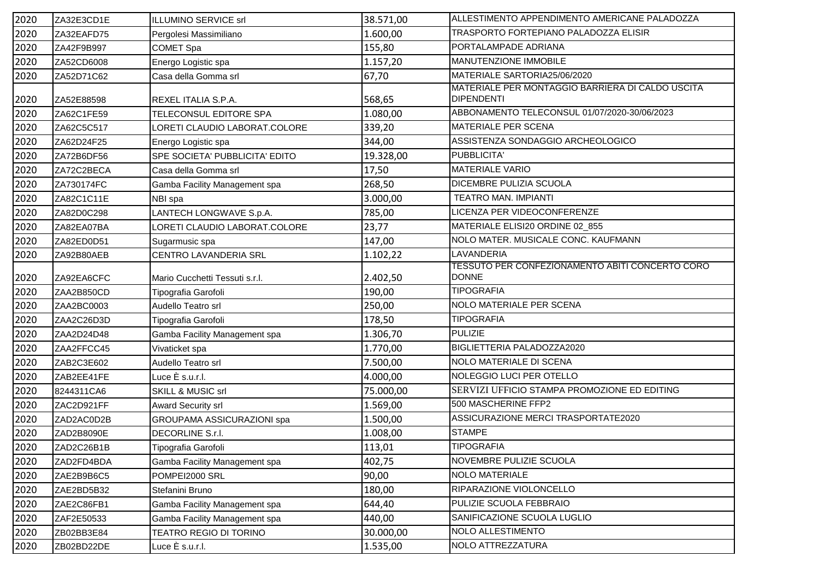| 2020 | ZA32E3CD1E | ILLUMINO SERVICE srl              | 38.571,00 | ALLESTIMENTO APPENDIMENTO AMERICANE PALADOZZA                          |
|------|------------|-----------------------------------|-----------|------------------------------------------------------------------------|
| 2020 | ZA32EAFD75 | Pergolesi Massimiliano            | 1.600,00  | TRASPORTO FORTEPIANO PALADOZZA ELISIR                                  |
| 2020 | ZA42F9B997 | <b>COMET Spa</b>                  | 155,80    | PORTALAMPADE ADRIANA                                                   |
| 2020 | ZA52CD6008 | Energo Logistic spa               | 1.157,20  | MANUTENZIONE IMMOBILE                                                  |
| 2020 | ZA52D71C62 | Casa della Gomma srl              | 67,70     | MATERIALE SARTORIA25/06/2020                                           |
| 2020 | ZA52E88598 | REXEL ITALIA S.P.A.               | 568,65    | MATERIALE PER MONTAGGIO BARRIERA DI CALDO USCITA<br><b>DIPENDENTI</b>  |
| 2020 | ZA62C1FE59 | TELECONSUL EDITORE SPA            | 1.080,00  | ABBONAMENTO TELECONSUL 01/07/2020-30/06/2023                           |
| 2020 | ZA62C5C517 | LORETI CLAUDIO LABORAT.COLORE     | 339,20    | MATERIALE PER SCENA                                                    |
| 2020 | ZA62D24F25 | Energo Logistic spa               | 344,00    | ASSISTENZA SONDAGGIO ARCHEOLOGICO                                      |
| 2020 | ZA72B6DF56 | SPE SOCIETA' PUBBLICITA' EDITO    | 19.328,00 | PUBBLICITA'                                                            |
| 2020 | ZA72C2BECA | Casa della Gomma srl              | 17,50     | <b>MATERIALE VARIO</b>                                                 |
| 2020 | ZA730174FC | Gamba Facility Management spa     | 268,50    | DICEMBRE PULIZIA SCUOLA                                                |
| 2020 | ZA82C1C11E | NBI spa                           | 3.000,00  | <b>TEATRO MAN. IMPIANTI</b>                                            |
| 2020 | ZA82D0C298 | LANTECH LONGWAVE S.p.A.           | 785,00    | LICENZA PER VIDEOCONFERENZE                                            |
| 2020 | ZA82EA07BA | LORETI CLAUDIO LABORAT.COLORE     | 23,77     | MATERIALE ELISI20 ORDINE 02_855                                        |
| 2020 | ZA82ED0D51 | Sugarmusic spa                    | 147,00    | NOLO MATER. MUSICALE CONC. KAUFMANN                                    |
| 2020 | ZA92B80AEB | CENTRO LAVANDERIA SRL             | 1.102,22  | LAVANDERIA                                                             |
| 2020 | ZA92EA6CFC | Mario Cucchetti Tessuti s.r.l.    | 2.402,50  | <b>TESSUTO PER CONFEZIONAMENTO ABITI CONCERTO CORO</b><br><b>DONNE</b> |
| 2020 | ZAA2B850CD | Tipografia Garofoli               | 190,00    | <b>TIPOGRAFIA</b>                                                      |
| 2020 | ZAA2BC0003 | Audello Teatro srl                | 250,00    | NOLO MATERIALE PER SCENA                                               |
| 2020 | ZAA2C26D3D | Tipografia Garofoli               | 178,50    | <b>TIPOGRAFIA</b>                                                      |
| 2020 | ZAA2D24D48 | Gamba Facility Management spa     | 1.306,70  | <b>PULIZIE</b>                                                         |
| 2020 | ZAA2FFCC45 | Vivaticket spa                    | 1.770,00  | BIGLIETTERIA PALADOZZA2020                                             |
| 2020 | ZAB2C3E602 | Audello Teatro srl                | 7.500,00  | NOLO MATERIALE DI SCENA                                                |
| 2020 | ZAB2EE41FE | Luce È s.u.r.l.                   | 4.000,00  | NOLEGGIO LUCI PER OTELLO                                               |
| 2020 | 8244311CA6 | SKILL & MUSIC srl                 | 75.000,00 | SERVIZI UFFICIO STAMPA PROMOZIONE ED EDITING                           |
| 2020 | ZAC2D921FF | Award Security srl                | 1.569,00  | 500 MASCHERINE FFP2                                                    |
| 2020 | ZAD2AC0D2B | <b>GROUPAMA ASSICURAZIONI spa</b> | 1.500,00  | ASSICURAZIONE MERCI TRASPORTATE2020                                    |
| 2020 | ZAD2B8090E | DECORLINE S.r.l.                  | 1.008,00  | <b>STAMPE</b>                                                          |
| 2020 | ZAD2C26B1B | Tipografia Garofoli               | 113,01    | <b>TIPOGRAFIA</b>                                                      |
| 2020 | ZAD2FD4BDA | Gamba Facility Management spa     | 402,75    | NOVEMBRE PULIZIE SCUOLA                                                |
| 2020 | ZAE2B9B6C5 | POMPEI2000 SRL                    | 90,00     | NOLO MATERIALE                                                         |
| 2020 | ZAE2BD5B32 | Stefanini Bruno                   | 180,00    | RIPARAZIONE VIOLONCELLO                                                |
| 2020 | ZAE2C86FB1 | Gamba Facility Management spa     | 644,40    | PULIZIE SCUOLA FEBBRAIO                                                |
| 2020 | ZAF2E50533 | Gamba Facility Management spa     | 440,00    | SANIFICAZIONE SCUOLA LUGLIO                                            |
| 2020 | ZB02BB3E84 | <b>TEATRO REGIO DI TORINO</b>     | 30.000,00 | NOLO ALLESTIMENTO                                                      |
| 2020 | ZB02BD22DE | Luce $\dot{\mathsf{E}}$ s.u.r.l.  | 1.535,00  | NOLO ATTREZZATURA                                                      |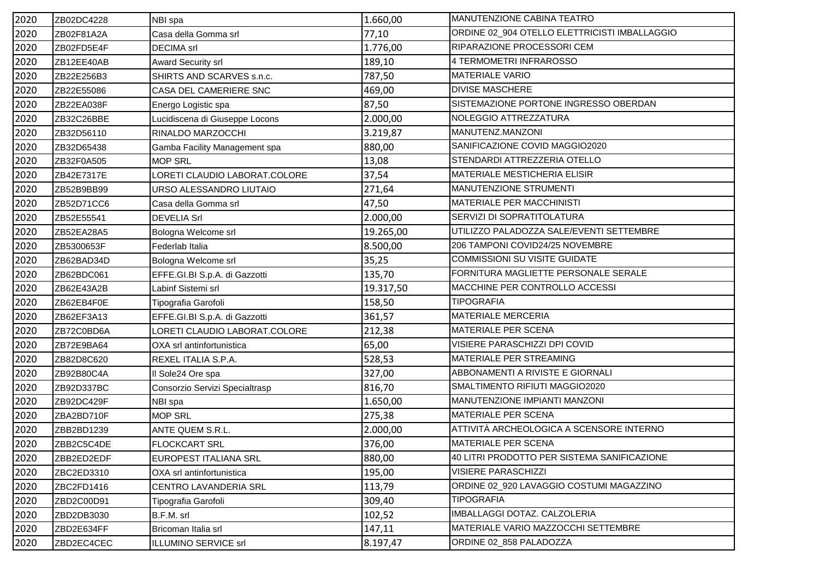| 2020 | ZB02DC4228 | NBI spa                        | 1.660,00  | MANUTENZIONE CABINA TEATRO                    |
|------|------------|--------------------------------|-----------|-----------------------------------------------|
| 2020 | ZB02F81A2A | Casa della Gomma srl           | 77,10     | ORDINE 02_904 OTELLO ELETTRICISTI IMBALLAGGIO |
| 2020 | ZB02FD5E4F | <b>DECIMA</b> srl              | 1.776,00  | RIPARAZIONE PROCESSORI CEM                    |
| 2020 | ZB12EE40AB | Award Security srl             | 189,10    | 4 TERMOMETRI INFRAROSSO                       |
| 2020 | ZB22E256B3 | SHIRTS AND SCARVES s.n.c.      | 787,50    | <b>MATERIALE VARIO</b>                        |
| 2020 | ZB22E55086 | CASA DEL CAMERIERE SNC         | 469,00    | <b>DIVISE MASCHERE</b>                        |
| 2020 | ZB22EA038F | Energo Logistic spa            | 87,50     | SISTEMAZIONE PORTONE INGRESSO OBERDAN         |
| 2020 | ZB32C26BBE | Lucidiscena di Giuseppe Locons | 2.000,00  | NOLEGGIO ATTREZZATURA                         |
| 2020 | ZB32D56110 | RINALDO MARZOCCHI              | 3.219,87  | MANUTENZ.MANZONI                              |
| 2020 | ZB32D65438 | Gamba Facility Management spa  | 880,00    | SANIFICAZIONE COVID MAGGIO2020                |
| 2020 | ZB32F0A505 | <b>MOP SRL</b>                 | 13,08     | STENDARDI ATTREZZERIA OTELLO                  |
| 2020 | ZB42E7317E | LORETI CLAUDIO LABORAT.COLORE  | 37,54     | MATERIALE MESTICHERIA ELISIR                  |
| 2020 | ZB52B9BB99 | URSO ALESSANDRO LIUTAIO        | 271,64    | MANUTENZIONE STRUMENTI                        |
| 2020 | ZB52D71CC6 | Casa della Gomma srl           | 47,50     | <b>MATERIALE PER MACCHINISTI</b>              |
| 2020 | ZB52E55541 | <b>DEVELIA Srl</b>             | 2.000,00  | SERVIZI DI SOPRATITOLATURA                    |
| 2020 | ZB52EA28A5 | Bologna Welcome srl            | 19.265,00 | UTILIZZO PALADOZZA SALE/EVENTI SETTEMBRE      |
| 2020 | ZB5300653F | Federlab Italia                | 8.500,00  | 206 TAMPONI COVID24/25 NOVEMBRE               |
| 2020 | ZB62BAD34D | Bologna Welcome srl            | 35,25     | <b>COMMISSIONI SU VISITE GUIDATE</b>          |
| 2020 | ZB62BDC061 | EFFE.GI.BI S.p.A. di Gazzotti  | 135,70    | FORNITURA MAGLIETTE PERSONALE SERALE          |
| 2020 | ZB62E43A2B | Labinf Sistemi srl             | 19.317,50 | MACCHINE PER CONTROLLO ACCESSI                |
| 2020 | ZB62EB4F0E | Tipografia Garofoli            | 158,50    | <b>TIPOGRAFIA</b>                             |
| 2020 | ZB62EF3A13 | EFFE.GI.BI S.p.A. di Gazzotti  | 361,57    | MATERIALE MERCERIA                            |
| 2020 | ZB72C0BD6A | LORETI CLAUDIO LABORAT.COLORE  | 212,38    | MATERIALE PER SCENA                           |
| 2020 | ZB72E9BA64 | OXA srl antinfortunistica      | 65,00     | VISIERE PARASCHIZZI DPI COVID                 |
| 2020 | ZB82D8C620 | REXEL ITALIA S.P.A.            | 528,53    | MATERIALE PER STREAMING                       |
| 2020 | ZB92B80C4A | Il Sole24 Ore spa              | 327,00    | ABBONAMENTI A RIVISTE E GIORNALI              |
| 2020 | ZB92D337BC | Consorzio Servizi Specialtrasp | 816,70    | SMALTIMENTO RIFIUTI MAGGIO2020                |
| 2020 | ZB92DC429F | NBI spa                        | 1.650,00  | MANUTENZIONE IMPIANTI MANZONI                 |
| 2020 | ZBA2BD710F | <b>MOP SRL</b>                 | 275,38    | MATERIALE PER SCENA                           |
| 2020 | ZBB2BD1239 | ANTE QUEM S.R.L.               | 2.000,00  | ATTIVITÀ ARCHEOLOGICA A SCENSORE INTERNO      |
| 2020 | ZBB2C5C4DE | <b>FLOCKCART SRL</b>           | 376,00    | MATERIALE PER SCENA                           |
| 2020 | ZBB2ED2EDF | EUROPEST ITALIANA SRL          | 880,00    | 40 LITRI PRODOTTO PER SISTEMA SANIFICAZIONE   |
| 2020 | ZBC2ED3310 | OXA srl antinfortunistica      | 195,00    | <b>VISIERE PARASCHIZZI</b>                    |
| 2020 | ZBC2FD1416 | CENTRO LAVANDERIA SRL          | 113,79    | ORDINE 02_920 LAVAGGIO COSTUMI MAGAZZINO      |
| 2020 | ZBD2C00D91 | Tipografia Garofoli            | 309,40    | <b>TIPOGRAFIA</b>                             |
| 2020 | ZBD2DB3030 | B.F.M. srl                     | 102,52    | IMBALLAGGI DOTAZ. CALZOLERIA                  |
| 2020 | ZBD2E634FF | Bricoman Italia srl            | 147,11    | MATERIALE VARIO MAZZOCCHI SETTEMBRE           |
| 2020 | ZBD2EC4CEC | ILLUMINO SERVICE srl           | 8.197,47  | ORDINE 02_858 PALADOZZA                       |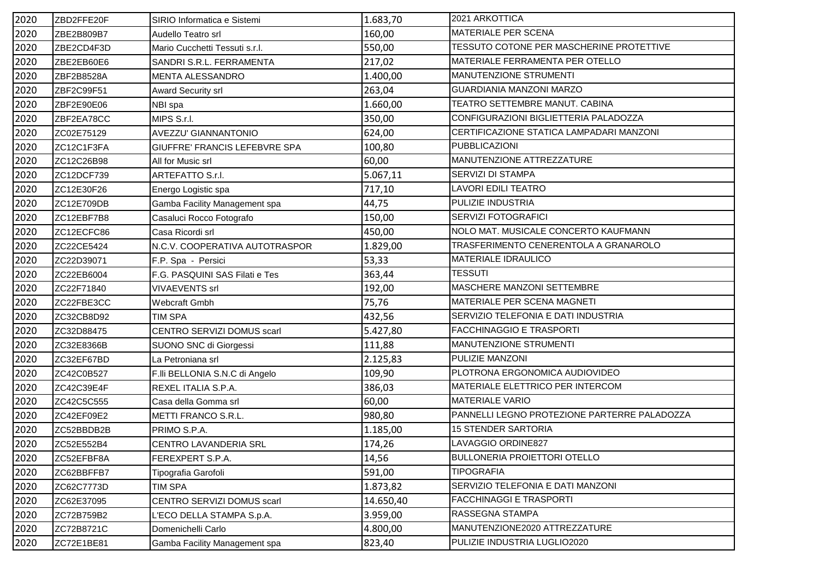| 2020 | ZBD2FFE20F | SIRIO Informatica e Sistemi          | 1.683,70  | 2021 ARKOTTICA                               |
|------|------------|--------------------------------------|-----------|----------------------------------------------|
| 2020 | ZBE2B809B7 | Audello Teatro srl                   | 160,00    | <b>MATERIALE PER SCENA</b>                   |
| 2020 | ZBE2CD4F3D | Mario Cucchetti Tessuti s.r.l.       | 550,00    | TESSUTO COTONE PER MASCHERINE PROTETTIVE     |
| 2020 | ZBE2EB60E6 | SANDRI S.R.L. FERRAMENTA             | 217,02    | MATERIALE FERRAMENTA PER OTELLO              |
| 2020 | ZBF2B8528A | MENTA ALESSANDRO                     | 1.400,00  | MANUTENZIONE STRUMENTI                       |
| 2020 | ZBF2C99F51 | <b>Award Security srl</b>            | 263,04    | GUARDIANIA MANZONI MARZO                     |
| 2020 | ZBF2E90E06 | NBI spa                              | 1.660,00  | TEATRO SETTEMBRE MANUT. CABINA               |
| 2020 | ZBF2EA78CC | MIPS S.r.l.                          | 350,00    | CONFIGURAZIONI BIGLIETTERIA PALADOZZA        |
| 2020 | ZC02E75129 | AVEZZU' GIANNANTONIO                 | 624,00    | CERTIFICAZIONE STATICA LAMPADARI MANZONI     |
| 2020 | ZC12C1F3FA | <b>GIUFFRE' FRANCIS LEFEBVRE SPA</b> | 100,80    | PUBBLICAZIONI                                |
| 2020 | ZC12C26B98 | All for Music srl                    | 60,00     | MANUTENZIONE ATTREZZATURE                    |
| 2020 | ZC12DCF739 | ARTEFATTO S.r.l.                     | 5.067,11  | SERVIZI DI STAMPA                            |
| 2020 | ZC12E30F26 | Energo Logistic spa                  | 717,10    | <b>LAVORI EDILI TEATRO</b>                   |
| 2020 | ZC12E709DB | Gamba Facility Management spa        | 44,75     | PULIZIE INDUSTRIA                            |
| 2020 | ZC12EBF7B8 | Casaluci Rocco Fotografo             | 150,00    | <b>SERVIZI FOTOGRAFICI</b>                   |
| 2020 | ZC12ECFC86 | Casa Ricordi srl                     | 450,00    | NOLO MAT. MUSICALE CONCERTO KAUFMANN         |
| 2020 | ZC22CE5424 | N.C.V. COOPERATIVA AUTOTRASPOR       | 1.829,00  | TRASFERIMENTO CENERENTOLA A GRANAROLO        |
| 2020 | ZC22D39071 | F.P. Spa - Persici                   | 53,33     | <b>MATERIALE IDRAULICO</b>                   |
| 2020 | ZC22EB6004 | F.G. PASQUINI SAS Filati e Tes       | 363,44    | <b>TESSUTI</b>                               |
| 2020 | ZC22F71840 | <b>VIVAEVENTS srl</b>                | 192,00    | MASCHERE MANZONI SETTEMBRE                   |
| 2020 | ZC22FBE3CC | Webcraft Gmbh                        | 75,76     | MATERIALE PER SCENA MAGNETI                  |
| 2020 | ZC32CB8D92 | <b>TIM SPA</b>                       | 432,56    | SERVIZIO TELEFONIA E DATI INDUSTRIA          |
| 2020 | ZC32D88475 | CENTRO SERVIZI DOMUS scarl           | 5.427,80  | <b>FACCHINAGGIO E TRASPORTI</b>              |
| 2020 | ZC32E8366B | SUONO SNC di Giorgessi               | 111,88    | MANUTENZIONE STRUMENTI                       |
| 2020 | ZC32EF67BD | La Petroniana srl                    | 2.125,83  | PULIZIE MANZONI                              |
| 2020 | ZC42C0B527 | F.IIi BELLONIA S.N.C di Angelo       | 109,90    | PLOTRONA ERGONOMICA AUDIOVIDEO               |
| 2020 | ZC42C39E4F | REXEL ITALIA S.P.A.                  | 386,03    | MATERIALE ELETTRICO PER INTERCOM             |
| 2020 | ZC42C5C555 | Casa della Gomma srl                 | 60,00     | <b>MATERIALE VARIO</b>                       |
| 2020 | ZC42EF09E2 | METTI FRANCO S.R.L.                  | 980,80    | PANNELLI LEGNO PROTEZIONE PARTERRE PALADOZZA |
| 2020 | ZC52BBDB2B | PRIMO S.P.A.                         | 1.185,00  | <b>15 STENDER SARTORIA</b>                   |
| 2020 | ZC52E552B4 | CENTRO LAVANDERIA SRL                | 174,26    | LAVAGGIO ORDINE827                           |
| 2020 | ZC52EFBF8A | FEREXPERT S.P.A.                     | 14,56     | <b>BULLONERIA PROIETTORI OTELLO</b>          |
| 2020 | ZC62BBFFB7 | Tipografia Garofoli                  | 591,00    | <b>TIPOGRAFIA</b>                            |
| 2020 | ZC62C7773D | <b>TIM SPA</b>                       | 1.873,82  | SERVIZIO TELEFONIA E DATI MANZONI            |
| 2020 | ZC62E37095 | CENTRO SERVIZI DOMUS scarl           | 14.650,40 | <b>FACCHINAGGI E TRASPORTI</b>               |
| 2020 | ZC72B759B2 | L'ECO DELLA STAMPA S.p.A.            | 3.959,00  | RASSEGNA STAMPA                              |
| 2020 | ZC72B8721C | Domenichelli Carlo                   | 4.800,00  | MANUTENZIONE2020 ATTREZZATURE                |
| 2020 | ZC72E1BE81 | Gamba Facility Management spa        | 823,40    | PULIZIE INDUSTRIA LUGLIO2020                 |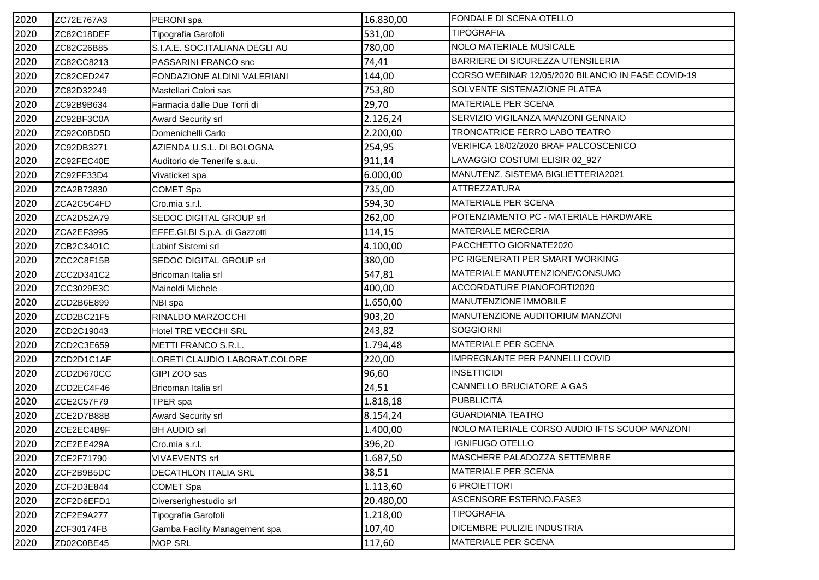| 2020 | ZC72E767A3 | PERONI spa                     | 16.830,00 | FONDALE DI SCENA OTELLO                            |
|------|------------|--------------------------------|-----------|----------------------------------------------------|
| 2020 | ZC82C18DEF | Tipografia Garofoli            | 531,00    | <b>TIPOGRAFIA</b>                                  |
| 2020 | ZC82C26B85 | S.I.A.E. SOC.ITALIANA DEGLI AU | 780,00    | NOLO MATERIALE MUSICALE                            |
| 2020 | ZC82CC8213 | PASSARINI FRANCO snc           | 74,41     | BARRIERE DI SICUREZZA UTENSILERIA                  |
| 2020 | ZC82CED247 | FONDAZIONE ALDINI VALERIANI    | 144,00    | CORSO WEBINAR 12/05/2020 BILANCIO IN FASE COVID-19 |
| 2020 | ZC82D32249 | Mastellari Colori sas          | 753,80    | SOLVENTE SISTEMAZIONE PLATEA                       |
| 2020 | ZC92B9B634 | Farmacia dalle Due Torri di    | 29,70     | MATERIALE PER SCENA                                |
| 2020 | ZC92BF3C0A | <b>Award Security srl</b>      | 2.126,24  | SERVIZIO VIGILANZA MANZONI GENNAIO                 |
| 2020 | ZC92C0BD5D | Domenichelli Carlo             | 2.200,00  | TRONCATRICE FERRO LABO TEATRO                      |
| 2020 | ZC92DB3271 | AZIENDA U.S.L. DI BOLOGNA      | 254,95    | VERIFICA 18/02/2020 BRAF PALCOSCENICO              |
| 2020 | ZC92FEC40E | Auditorio de Tenerife s.a.u.   | 911,14    | LAVAGGIO COSTUMI ELISIR 02_927                     |
| 2020 | ZC92FF33D4 | Vivaticket spa                 | 6.000,00  | MANUTENZ. SISTEMA BIGLIETTERIA2021                 |
| 2020 | ZCA2B73830 | COMET Spa                      | 735,00    | ATTREZZATURA                                       |
| 2020 | ZCA2C5C4FD | Cro.mia s.r.l.                 | 594,30    | <b>MATERIALE PER SCENA</b>                         |
| 2020 | ZCA2D52A79 | SEDOC DIGITAL GROUP srl        | 262,00    | POTENZIAMENTO PC - MATERIALE HARDWARE              |
| 2020 | ZCA2EF3995 | EFFE.GI.BI S.p.A. di Gazzotti  | 114,15    | <b>MATERIALE MERCERIA</b>                          |
| 2020 | ZCB2C3401C | Labinf Sistemi srl             | 4.100,00  | PACCHETTO GIORNATE2020                             |
| 2020 | ZCC2C8F15B | SEDOC DIGITAL GROUP srl        | 380,00    | PC RIGENERATI PER SMART WORKING                    |
| 2020 | ZCC2D341C2 | Bricoman Italia srl            | 547,81    | MATERIALE MANUTENZIONE/CONSUMO                     |
| 2020 | ZCC3029E3C | Mainoldi Michele               | 400,00    | ACCORDATURE PIANOFORTI2020                         |
| 2020 | ZCD2B6E899 | NBI spa                        | 1.650,00  | MANUTENZIONE IMMOBILE                              |
| 2020 | ZCD2BC21F5 | RINALDO MARZOCCHI              | 903,20    | MANUTENZIONE AUDITORIUM MANZONI                    |
| 2020 | ZCD2C19043 | <b>Hotel TRE VECCHI SRL</b>    | 243,82    | <b>SOGGIORNI</b>                                   |
| 2020 | ZCD2C3E659 | <b>METTI FRANCO S.R.L.</b>     | 1.794,48  | MATERIALE PER SCENA                                |
| 2020 | ZCD2D1C1AF | LORETI CLAUDIO LABORAT.COLORE  | 220,00    | IMPREGNANTE PER PANNELLI COVID                     |
| 2020 | ZCD2D670CC | GIPI ZOO sas                   | 96,60     | <b>INSETTICIDI</b>                                 |
| 2020 | ZCD2EC4F46 | Bricoman Italia srl            | 24,51     | CANNELLO BRUCIATORE A GAS                          |
| 2020 | ZCE2C57F79 | TPER spa                       | 1.818,18  | <b>PUBBLICITÀ</b>                                  |
| 2020 | ZCE2D7B88B | Award Security srl             | 8.154,24  | <b>GUARDIANIA TEATRO</b>                           |
| 2020 | ZCE2EC4B9F | <b>BH AUDIO srl</b>            | 1.400,00  | NOLO MATERIALE CORSO AUDIO IFTS SCUOP MANZONI      |
| 2020 | ZCE2EE429A | Cro.mia s.r.l.                 | 396,20    | <b>IGNIFUGO OTELLO</b>                             |
| 2020 | ZCE2F71790 | <b>VIVAEVENTS srl</b>          | 1.687,50  | MASCHERE PALADOZZA SETTEMBRE                       |
| 2020 | ZCF2B9B5DC | DECATHLON ITALIA SRL           | 38,51     | MATERIALE PER SCENA                                |
| 2020 | ZCF2D3E844 | COMET Spa                      | 1.113,60  | 6 PROIETTORI                                       |
| 2020 | ZCF2D6EFD1 | Diverserighestudio srl         | 20.480,00 | ASCENSORE ESTERNO.FASE3                            |
| 2020 | ZCF2E9A277 | Tipografia Garofoli            | 1.218,00  | <b>TIPOGRAFIA</b>                                  |
| 2020 | ZCF30174FB | Gamba Facility Management spa  | 107,40    | DICEMBRE PULIZIE INDUSTRIA                         |
| 2020 | ZD02C0BE45 | <b>MOP SRL</b>                 | 117,60    | MATERIALE PER SCENA                                |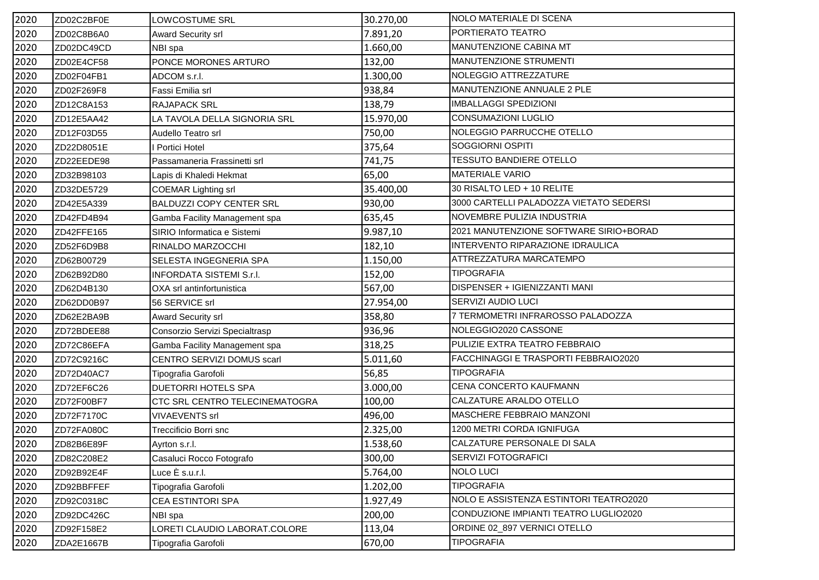| 2020 | ZD02C2BF0E | LOWCOSTUME SRL                  | 30.270,00 | NOLO MATERIALE DI SCENA                 |
|------|------------|---------------------------------|-----------|-----------------------------------------|
| 2020 | ZD02C8B6A0 | Award Security srl              | 7.891,20  | PORTIERATO TEATRO                       |
| 2020 | ZD02DC49CD | NBI spa                         | 1.660,00  | MANUTENZIONE CABINA MT                  |
| 2020 | ZD02E4CF58 | PONCE MORONES ARTURO            | 132,00    | MANUTENZIONE STRUMENTI                  |
| 2020 | ZD02F04FB1 | ADCOM s.r.l.                    | 1.300,00  | NOLEGGIO ATTREZZATURE                   |
| 2020 | ZD02F269F8 | Fassi Emilia srl                | 938,84    | MANUTENZIONE ANNUALE 2 PLE              |
| 2020 | ZD12C8A153 | <b>RAJAPACK SRL</b>             | 138,79    | <b>IMBALLAGGI SPEDIZIONI</b>            |
| 2020 | ZD12E5AA42 | LA TAVOLA DELLA SIGNORIA SRL    | 15.970,00 | <b>CONSUMAZIONI LUGLIO</b>              |
| 2020 | ZD12F03D55 | Audello Teatro srl              | 750,00    | NOLEGGIO PARRUCCHE OTELLO               |
| 2020 | ZD22D8051E | <b>Portici Hotel</b>            | 375,64    | SOGGIORNI OSPITI                        |
| 2020 | ZD22EEDE98 | Passamaneria Frassinetti srl    | 741,75    | <b>TESSUTO BANDIERE OTELLO</b>          |
| 2020 | ZD32B98103 | Lapis di Khaledi Hekmat         | 65,00     | <b>MATERIALE VARIO</b>                  |
| 2020 | ZD32DE5729 | <b>COEMAR Lighting srl</b>      | 35.400,00 | 30 RISALTO LED + 10 RELITE              |
| 2020 | ZD42E5A339 | <b>BALDUZZI COPY CENTER SRL</b> | 930,00    | 3000 CARTELLI PALADOZZA VIETATO SEDERSI |
| 2020 | ZD42FD4B94 | Gamba Facility Management spa   | 635,45    | NOVEMBRE PULIZIA INDUSTRIA              |
| 2020 | ZD42FFE165 | SIRIO Informatica e Sistemi     | 9.987,10  | 2021 MANUTENZIONE SOFTWARE SIRIO+BORAD  |
| 2020 | ZD52F6D9B8 | RINALDO MARZOCCHI               | 182,10    | INTERVENTO RIPARAZIONE IDRAULICA        |
| 2020 | ZD62B00729 | SELESTA INGEGNERIA SPA          | 1.150,00  | ATTREZZATURA MARCATEMPO                 |
| 2020 | ZD62B92D80 | <b>INFORDATA SISTEMI S.r.I.</b> | 152,00    | <b>TIPOGRAFIA</b>                       |
| 2020 | ZD62D4B130 | OXA srl antinfortunistica       | 567,00    | DISPENSER + IGIENIZZANTI MANI           |
| 2020 | ZD62DD0B97 | 56 SERVICE srl                  | 27.954,00 | SERVIZI AUDIO LUCI                      |
| 2020 | ZD62E2BA9B | <b>Award Security srl</b>       | 358,80    | 7 TERMOMETRI INFRAROSSO PALADOZZA       |
| 2020 | ZD72BDEE88 | Consorzio Servizi Specialtrasp  | 936,96    | NOLEGGIO2020 CASSONE                    |
| 2020 | ZD72C86EFA | Gamba Facility Management spa   | 318,25    | PULIZIE EXTRA TEATRO FEBBRAIO           |
| 2020 | ZD72C9216C | CENTRO SERVIZI DOMUS scarl      | 5.011,60  | FACCHINAGGI E TRASPORTI FEBBRAIO2020    |
| 2020 | ZD72D40AC7 | Tipografia Garofoli             | 56,85     | <b>TIPOGRAFIA</b>                       |
| 2020 | ZD72EF6C26 | DUETORRI HOTELS SPA             | 3.000,00  | CENA CONCERTO KAUFMANN                  |
| 2020 | ZD72F00BF7 | CTC SRL CENTRO TELECINEMATOGRA  | 100,00    | CALZATURE ARALDO OTELLO                 |
| 2020 | ZD72F7170C | <b>VIVAEVENTS srl</b>           | 496,00    | MASCHERE FEBBRAIO MANZONI               |
| 2020 | ZD72FA080C | Treccificio Borri snc           | 2.325,00  | 1200 METRI CORDA IGNIFUGA               |
| 2020 | ZD82B6E89F | Ayrton s.r.l.                   | 1.538,60  | CALZATURE PERSONALE DI SALA             |
| 2020 | ZD82C208E2 | Casaluci Rocco Fotografo        | 300,00    | <b>SERVIZI FOTOGRAFICI</b>              |
| 2020 | ZD92B92E4F | Luce È s.u.r.l.                 | 5.764,00  | <b>NOLO LUCI</b>                        |
| 2020 | ZD92BBFFEF | Tipografia Garofoli             | 1.202,00  | <b>TIPOGRAFIA</b>                       |
| 2020 | ZD92C0318C | CEA ESTINTORI SPA               | 1.927,49  | NOLO E ASSISTENZA ESTINTORI TEATRO2020  |
| 2020 | ZD92DC426C | NBI spa                         | 200,00    | CONDUZIONE IMPIANTI TEATRO LUGLIO2020   |
| 2020 | ZD92F158E2 | LORETI CLAUDIO LABORAT.COLORE   | 113,04    | ORDINE 02_897 VERNICI OTELLO            |
| 2020 | ZDA2E1667B | Tipografia Garofoli             | 670,00    | <b>TIPOGRAFIA</b>                       |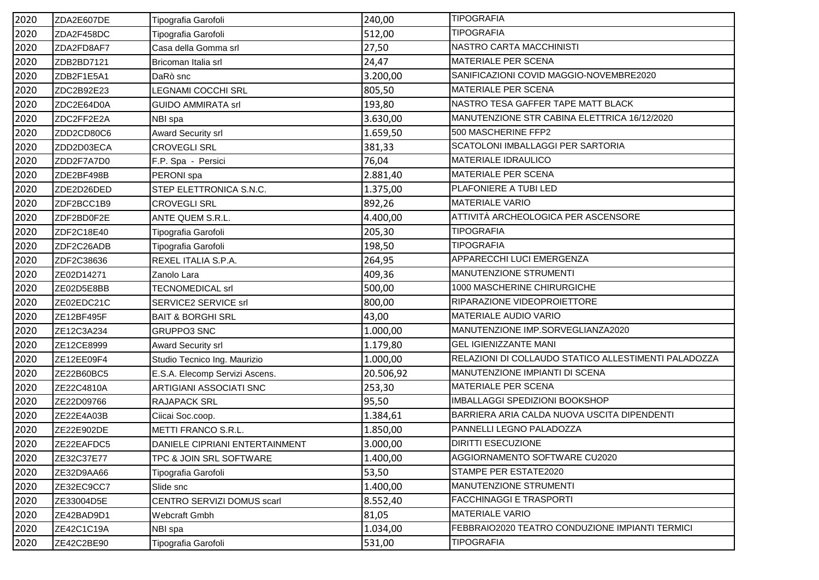| 2020 | ZDA2E607DE | Tipografia Garofoli            | 240,00    | <b>TIPOGRAFIA</b>                                    |
|------|------------|--------------------------------|-----------|------------------------------------------------------|
| 2020 | ZDA2F458DC | Tipografia Garofoli            | 512,00    | <b>TIPOGRAFIA</b>                                    |
| 2020 | ZDA2FD8AF7 | Casa della Gomma srl           | 27,50     | NASTRO CARTA MACCHINISTI                             |
| 2020 | ZDB2BD7121 | Bricoman Italia srl            | 24,47     | MATERIALE PER SCENA                                  |
| 2020 | ZDB2F1E5A1 | DaRò snc                       | 3.200,00  | SANIFICAZIONI COVID MAGGIO-NOVEMBRE2020              |
| 2020 | ZDC2B92E23 | LEGNAMI COCCHI SRL             | 805,50    | <b>MATERIALE PER SCENA</b>                           |
| 2020 | ZDC2E64D0A | <b>GUIDO AMMIRATA srl</b>      | 193,80    | NASTRO TESA GAFFER TAPE MATT BLACK                   |
| 2020 | ZDC2FF2E2A | NBI spa                        | 3.630,00  | MANUTENZIONE STR CABINA ELETTRICA 16/12/2020         |
| 2020 | ZDD2CD80C6 | Award Security srl             | 1.659,50  | 500 MASCHERINE FFP2                                  |
| 2020 | ZDD2D03ECA | <b>CROVEGLI SRL</b>            | 381,33    | SCATOLONI IMBALLAGGI PER SARTORIA                    |
| 2020 | ZDD2F7A7D0 | F.P. Spa - Persici             | 76,04     | MATERIALE IDRAULICO                                  |
| 2020 | ZDE2BF498B | PERONI spa                     | 2.881,40  | MATERIALE PER SCENA                                  |
| 2020 | ZDE2D26DED | STEP ELETTRONICA S.N.C.        | 1.375,00  | PLAFONIERE A TUBI LED                                |
| 2020 | ZDF2BCC1B9 | <b>CROVEGLI SRL</b>            | 892,26    | <b>MATERIALE VARIO</b>                               |
| 2020 | ZDF2BD0F2E | ANTE QUEM S.R.L.               | 4.400,00  | ATTIVITÀ ARCHEOLOGICA PER ASCENSORE                  |
| 2020 | ZDF2C18E40 | Tipografia Garofoli            | 205,30    | <b>TIPOGRAFIA</b>                                    |
| 2020 | ZDF2C26ADB | Tipografia Garofoli            | 198,50    | <b>TIPOGRAFIA</b>                                    |
| 2020 | ZDF2C38636 | REXEL ITALIA S.P.A.            | 264,95    | APPARECCHI LUCI EMERGENZA                            |
| 2020 | ZE02D14271 | Zanolo Lara                    | 409,36    | MANUTENZIONE STRUMENTI                               |
| 2020 | ZE02D5E8BB | TECNOMEDICAL srl               | 500,00    | 1000 MASCHERINE CHIRURGICHE                          |
| 2020 | ZE02EDC21C | SERVICE2 SERVICE srl           | 800,00    | RIPARAZIONE VIDEOPROIETTORE                          |
| 2020 | ZE12BF495F | <b>BAIT &amp; BORGHI SRL</b>   | 43,00     | MATERIALE AUDIO VARIO                                |
| 2020 | ZE12C3A234 | <b>GRUPPO3 SNC</b>             | 1.000,00  | MANUTENZIONE IMP.SORVEGLIANZA2020                    |
| 2020 | ZE12CE8999 | <b>Award Security srl</b>      | 1.179,80  | <b>GEL IGIENIZZANTE MANI</b>                         |
| 2020 | ZE12EE09F4 | Studio Tecnico Ing. Maurizio   | 1.000,00  | RELAZIONI DI COLLAUDO STATICO ALLESTIMENTI PALADOZZA |
| 2020 | ZE22B60BC5 | E.S.A. Elecomp Servizi Ascens. | 20.506,92 | MANUTENZIONE IMPIANTI DI SCENA                       |
| 2020 | ZE22C4810A | ARTIGIANI ASSOCIATI SNC        | 253,30    | MATERIALE PER SCENA                                  |
| 2020 | ZE22D09766 | <b>RAJAPACK SRL</b>            | 95,50     | IMBALLAGGI SPEDIZIONI BOOKSHOP                       |
| 2020 | ZE22E4A03B | Ciicai Soc.coop.               | 1.384,61  | BARRIERA ARIA CALDA NUOVA USCITA DIPENDENTI          |
| 2020 | ZE22E902DE | METTI FRANCO S.R.L.            | 1.850,00  | PANNELLI LEGNO PALADOZZA                             |
| 2020 | ZE22EAFDC5 | DANIELE CIPRIANI ENTERTAINMENT | 3.000,00  | <b>DIRITTI ESECUZIONE</b>                            |
| 2020 | ZE32C37E77 | TPC & JOIN SRL SOFTWARE        | 1.400,00  | AGGIORNAMENTO SOFTWARE CU2020                        |
| 2020 | ZE32D9AA66 | Tipografia Garofoli            | 53,50     | STAMPE PER ESTATE2020                                |
| 2020 | ZE32EC9CC7 | Slide snc                      | 1.400,00  | MANUTENZIONE STRUMENTI                               |
| 2020 | ZE33004D5E | CENTRO SERVIZI DOMUS scarl     | 8.552,40  | <b>FACCHINAGGI E TRASPORTI</b>                       |
| 2020 | ZE42BAD9D1 | <b>Webcraft Gmbh</b>           | 81,05     | <b>MATERIALE VARIO</b>                               |
| 2020 | ZE42C1C19A | NBI spa                        | 1.034,00  | FEBBRAIO2020 TEATRO CONDUZIONE IMPIANTI TERMICI      |
| 2020 | ZE42C2BE90 | Tipografia Garofoli            | 531,00    | <b>TIPOGRAFIA</b>                                    |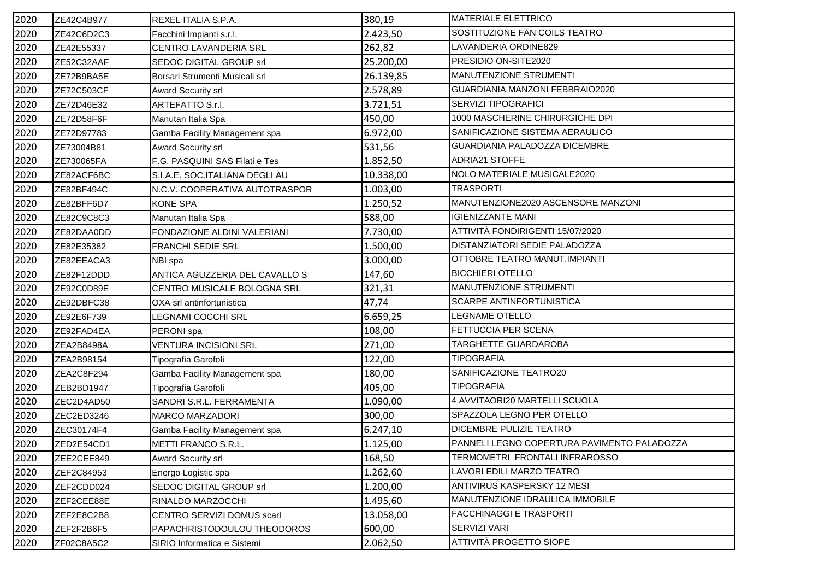| 2020 | ZE42C4B977 | REXEL ITALIA S.P.A.            | 380,19    | <b>MATERIALE ELETTRICO</b>                  |
|------|------------|--------------------------------|-----------|---------------------------------------------|
| 2020 | ZE42C6D2C3 | Facchini Impianti s.r.l.       | 2.423,50  | SOSTITUZIONE FAN COILS TEATRO               |
| 2020 | ZE42E55337 | CENTRO LAVANDERIA SRL          | 262,82    | LAVANDERIA ORDINE829                        |
| 2020 | ZE52C32AAF | SEDOC DIGITAL GROUP srl        | 25.200,00 | PRESIDIO ON-SITE2020                        |
| 2020 | ZE72B9BA5E | Borsari Strumenti Musicali srl | 26.139,85 | MANUTENZIONE STRUMENTI                      |
| 2020 | ZE72C503CF | <b>Award Security srl</b>      | 2.578,89  | GUARDIANIA MANZONI FEBBRAIO2020             |
| 2020 | ZE72D46E32 | <b>ARTEFATTO S.r.l.</b>        | 3.721,51  | SERVIZI TIPOGRAFICI                         |
| 2020 | ZE72D58F6F | Manutan Italia Spa             | 450,00    | 1000 MASCHERINE CHIRURGICHE DPI             |
| 2020 | ZE72D97783 | Gamba Facility Management spa  | 6.972,00  | SANIFICAZIONE SISTEMA AERAULICO             |
| 2020 | ZE73004B81 | Award Security srl             | 531,56    | GUARDIANIA PALADOZZA DICEMBRE               |
| 2020 | ZE730065FA | F.G. PASQUINI SAS Filati e Tes | 1.852,50  | <b>ADRIA21 STOFFE</b>                       |
| 2020 | ZE82ACF6BC | S.I.A.E. SOC.ITALIANA DEGLI AU | 10.338,00 | NOLO MATERIALE MUSICALE2020                 |
| 2020 | ZE82BF494C | N.C.V. COOPERATIVA AUTOTRASPOR | 1.003,00  | <b>TRASPORTI</b>                            |
| 2020 | ZE82BFF6D7 | <b>KONE SPA</b>                | 1.250,52  | MANUTENZIONE2020 ASCENSORE MANZONI          |
| 2020 | ZE82C9C8C3 | Manutan Italia Spa             | 588,00    | <b>IGIENIZZANTE MANI</b>                    |
| 2020 | ZE82DAA0DD | FONDAZIONE ALDINI VALERIANI    | 7.730,00  | ATTIVITÀ FONDIRIGENTI 15/07/2020            |
| 2020 | ZE82E35382 | <b>FRANCHI SEDIE SRL</b>       | 1.500,00  | DISTANZIATORI SEDIE PALADOZZA               |
| 2020 | ZE82EEACA3 | NBI spa                        | 3.000,00  | OTTOBRE TEATRO MANUT.IMPIANTI               |
| 2020 | ZE82F12DDD | ANTICA AGUZZERIA DEL CAVALLO S | 147,60    | <b>BICCHIERI OTELLO</b>                     |
| 2020 | ZE92C0D89E | CENTRO MUSICALE BOLOGNA SRL    | 321,31    | MANUTENZIONE STRUMENTI                      |
| 2020 | ZE92DBFC38 | OXA srl antinfortunistica      | 47,74     | SCARPE ANTINFORTUNISTICA                    |
| 2020 | ZE92E6F739 | LEGNAMI COCCHI SRL             | 6.659,25  | LEGNAME OTELLO                              |
| 2020 | ZE92FAD4EA | PERONI spa                     | 108,00    | FETTUCCIA PER SCENA                         |
| 2020 | ZEA2B8498A | <b>VENTURA INCISIONI SRL</b>   | 271,00    | TARGHETTE GUARDAROBA                        |
| 2020 | ZEA2B98154 | Tipografia Garofoli            | 122,00    | <b>TIPOGRAFIA</b>                           |
| 2020 | ZEA2C8F294 | Gamba Facility Management spa  | 180,00    | SANIFICAZIONE TEATRO20                      |
| 2020 | ZEB2BD1947 | Tipografia Garofoli            | 405,00    | <b>TIPOGRAFIA</b>                           |
| 2020 | ZEC2D4AD50 | SANDRI S.R.L. FERRAMENTA       | 1.090,00  | 4 AVVITAORI20 MARTELLI SCUOLA               |
| 2020 | ZEC2ED3246 | <b>MARCO MARZADORI</b>         | 300,00    | SPAZZOLA LEGNO PER OTELLO                   |
| 2020 | ZEC30174F4 | Gamba Facility Management spa  | 6.247,10  | DICEMBRE PULIZIE TEATRO                     |
| 2020 | ZED2E54CD1 | METTI FRANCO S.R.L.            | 1.125,00  | PANNELI LEGNO COPERTURA PAVIMENTO PALADOZZA |
| 2020 | ZEE2CEE849 | <b>Award Security srl</b>      | 168,50    | TERMOMETRI FRONTALI INFRAROSSO              |
| 2020 | ZEF2C84953 | Energo Logistic spa            | 1.262,60  | LAVORI EDILI MARZO TEATRO                   |
| 2020 | ZEF2CDD024 | SEDOC DIGITAL GROUP srl        | 1.200,00  | ANTIVIRUS KASPERSKY 12 MESI                 |
| 2020 | ZEF2CEE88E | RINALDO MARZOCCHI              | 1.495,60  | MANUTENZIONE IDRAULICA IMMOBILE             |
| 2020 | ZEF2E8C2B8 | CENTRO SERVIZI DOMUS scarl     | 13.058,00 | <b>FACCHINAGGI E TRASPORTI</b>              |
| 2020 | ZEF2F2B6F5 | PAPACHRISTODOULOU THEODOROS    | 600,00    | SERVIZI VARI                                |
| 2020 | ZF02C8A5C2 | SIRIO Informatica e Sistemi    | 2.062,50  | <b>ATTIVITÀ PROGETTO SIOPE</b>              |